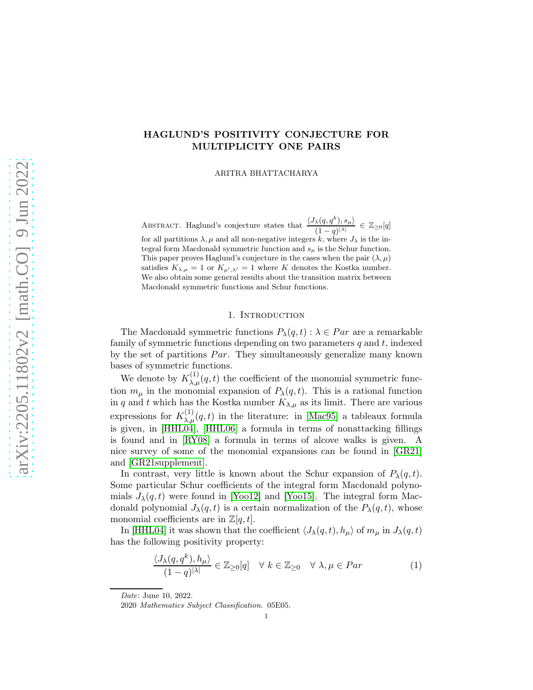# HAGLUND'S POSITIVITY CONJECTURE FOR MULTIPLICITY ONE PAIRS

ARITRA BHATTACHARYA

ABSTRACT. Haglund's conjecture states that  $\frac{\langle J_{\lambda}(q, q^k), s_{\mu} \rangle}{\langle j_{\lambda} (q, q^k) \rangle}$  $\frac{\lambda(q,q),s_{\mu\mu}}{(1-q)^{|\lambda|}} \in \mathbb{Z}_{\geq 0}[q]$ for all partitions  $\lambda, \mu$  and all non-negative integers k, where  $J_{\lambda}$  is the integral form Macdonald symmetric function and  $s_{\mu}$  is the Schur function. This paper proves Haglund's conjecture in the cases when the pair  $(\lambda, \mu)$ satisfies  $K_{\lambda,\mu} = 1$  or  $K_{\mu',\lambda'} = 1$  where K denotes the Kostka number. We also obtain some general results about the transition matrix between Macdonald symmetric functions and Schur functions.

## 1. INTRODUCTION

The Macdonald symmetric functions  $P_{\lambda}(q, t)$ :  $\lambda \in Par$  are a remarkable family of symmetric functions depending on two parameters  $q$  and  $t$ , indexed by the set of partitions  $Par$ . They simultaneously generalize many known bases of symmetric functions.

We denote by  $K_{\lambda,\mu}^{(1)}(q,t)$  the coefficient of the monomial symmetric function  $m_{\mu}$  in the monomial expansion of  $P_{\lambda}(q,t)$ . This is a rational function in q and t which has the Kostka number  $K_{\lambda,\mu}$  as its limit. There are various expressions for  $K_{\lambda,\mu}^{(1)}(q,t)$  in the literature: in [\[Mac95\]](#page-21-0) a tableaux formula is given, in [\[HHL04\]](#page-21-1), [\[HHL06\]](#page-21-2) a formula in terms of nonattacking fillings is found and in [\[RY08\]](#page-21-3) a formula in terms of alcove walks is given. A nice survey of some of the monomial expansions can be found in [\[GR21\]](#page-21-4) and [\[GR21supplement\]](#page-21-5).

In contrast, very little is known about the Schur expansion of  $P_{\lambda}(q, t)$ . Some particular Schur coefficients of the integral form Macdonald polynomials  $J_{\lambda}(q, t)$  were found in [\[Yoo12\]](#page-21-6) and [\[Yoo15\]](#page-21-7). The integral form Macdonald polynomial  $J_{\lambda}(q, t)$  is a certain normalization of the  $P_{\lambda}(q, t)$ , whose monomial coefficients are in  $\mathbb{Z}[q, t]$ .

In [\[HHL04\]](#page-21-1) it was shown that the coefficient  $\langle J_{\lambda}(q, t), h_{\mu} \rangle$  of  $m_{\mu}$  in  $J_{\lambda}(q, t)$ has the following positivity property:

$$
\frac{\langle J_{\lambda}(q, q^k), h_{\mu}\rangle}{(1-q)^{|\lambda|}} \in \mathbb{Z}_{\geq 0}[q] \quad \forall \ k \in \mathbb{Z}_{\geq 0} \quad \forall \ \lambda, \mu \in Par \tag{1}
$$

Date: June 10, 2022.

2020 Mathematics Subject Classification. 05E05.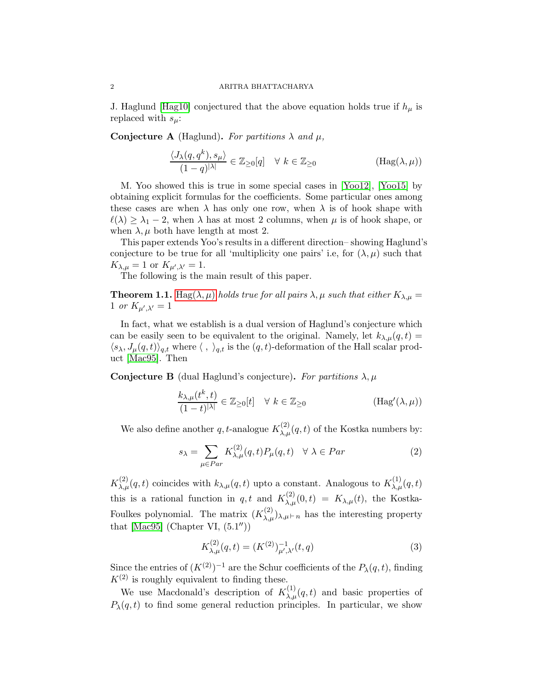J. Haglund [\[Hag10\]](#page-21-8) conjectured that the above equation holds true if  $h_{\mu}$  is replaced with  $s_\mu$ :

**Conjecture A** (Haglund). For partitions  $\lambda$  and  $\mu$ ,

<span id="page-1-0"></span>
$$
\frac{\langle J_{\lambda}(q, q^k), s_{\mu} \rangle}{(1-q)^{|\lambda|}} \in \mathbb{Z}_{\geq 0}[q] \quad \forall \ k \in \mathbb{Z}_{\geq 0}
$$
 (Hag $(\lambda, \mu)$ )

M. Yoo showed this is true in some special cases in [\[Yoo12\]](#page-21-6), [\[Yoo15\]](#page-21-7) by obtaining explicit formulas for the coefficients. Some particular ones among these cases are when  $\lambda$  has only one row, when  $\lambda$  is of hook shape with  $\ell(\lambda) \geq \lambda_1 - 2$ , when  $\lambda$  has at most 2 columns, when  $\mu$  is of hook shape, or when  $\lambda, \mu$  both have length at most 2.

This paper extends Yoo's results in a different direction– showing Haglund's conjecture to be true for all 'multiplicity one pairs' i.e, for  $(\lambda, \mu)$  such that  $K_{\lambda,\mu}=1$  or  $K_{\mu',\lambda'}=1$ .

The following is the main result of this paper.

**Theorem 1.1.** [Hag\(](#page-1-0) $\lambda, \mu$ ) holds true for all pairs  $\lambda, \mu$  such that either  $K_{\lambda, \mu} =$ 1 or  $K_{\mu',\lambda'}=1$ 

In fact, what we establish is a dual version of Haglund's conjecture which can be easily seen to be equivalent to the original. Namely, let  $k_{\lambda,\mu}(q,t) =$  $\langle s_{\lambda}, J_{\mu}(q, t) \rangle_{q,t}$  where  $\langle , \rangle_{q,t}$  is the  $(q, t)$ -deformation of the Hall scalar product [\[Mac95\]](#page-21-0). Then

Conjecture B (dual Haglund's conjecture). For partitions  $\lambda, \mu$ 

$$
\frac{k_{\lambda,\mu}(t^k,t)}{(1-t)^{|\lambda|}} \in \mathbb{Z}_{\geq 0}[t] \quad \forall \ k \in \mathbb{Z}_{\geq 0}
$$
\n(\text{Hag}'(\lambda,\mu))

We also define another q, t-analogue  $K_{\lambda,\mu}^{(2)}(q,t)$  of the Kostka numbers by:

$$
s_{\lambda} = \sum_{\mu \in Par} K_{\lambda,\mu}^{(2)}(q,t) P_{\mu}(q,t) \quad \forall \ \lambda \in Par \tag{2}
$$

 $K_{\lambda,\mu}^{(2)}(q,t)$  coincides with  $k_{\lambda,\mu}(q,t)$  upto a constant. Analogous to  $K_{\lambda,\mu}^{(1)}(q,t)$ this is a rational function in q, t and  $K_{\lambda,\mu}^{(2)}(0,t) = K_{\lambda,\mu}(t)$ , the Kostka-Foulkes polynomial. The matrix  $(K_{\lambda,\mu}^{(2)})_{\lambda,\mu\,\vdash n}$  has the interesting property that  $[\text{Mac95}]$  (Chapter VI,  $(5.1'')$ )

$$
K_{\lambda,\mu}^{(2)}(q,t) = (K^{(2)})_{\mu',\lambda'}^{-1}(t,q)
$$
\n(3)

Since the entries of  $(K^{(2)})^{-1}$  are the Schur coefficients of the  $P_{\lambda}(q, t)$ , finding  $K^{(2)}$  is roughly equivalent to finding these.

We use Macdonald's description of  $K_{\lambda,\mu}^{(1)}(q,t)$  and basic properties of  $P_{\lambda}(q, t)$  to find some general reduction principles. In particular, we show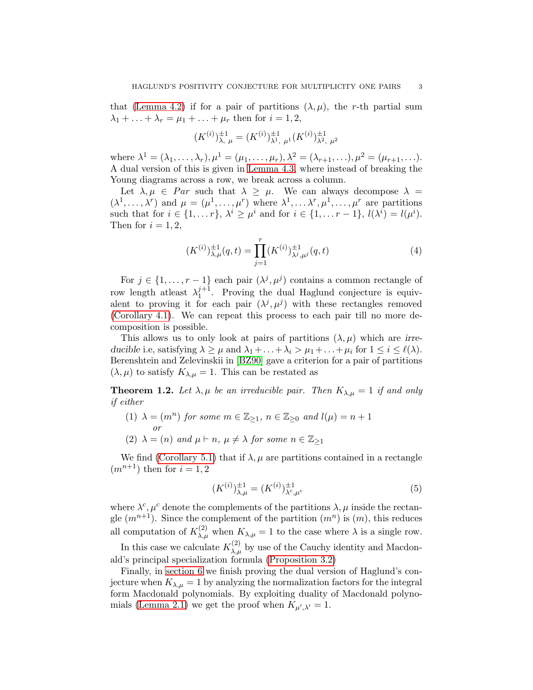that [\(Lemma 4.2\)](#page-12-0) if for a pair of partitions  $(\lambda, \mu)$ , the r-th partial sum  $\lambda_1 + \ldots + \lambda_r = \mu_1 + \ldots + \mu_r$  then for  $i = 1, 2$ ,

$$
(K^{(i)})_{\lambda,\ \mu}^{\pm 1} = (K^{(i)})_{\lambda^1,\ \mu^1}^{\pm 1} (K^{(i)})_{\lambda^2,\ \mu^2}^{\pm 1}
$$

where  $\lambda^1 = (\lambda_1, ..., \lambda_r), \mu^1 = (\mu_1, ..., \mu_r), \lambda^2 = (\lambda_{r+1}, ..., \lambda_r)^2 = (\mu_{r+1}, ...).$ A dual version of this is given in [Lemma 4.3,](#page-13-0) where instead of breaking the Young diagrams across a row, we break across a column.

Let  $\lambda, \mu \in Par$  such that  $\lambda \geq \mu$ . We can always decompose  $\lambda =$  $(\lambda^1,\ldots,\lambda^r)$  and  $\mu=(\mu^1,\ldots,\mu^r)$  where  $\lambda^1,\ldots,\lambda^r,\mu^1,\ldots,\mu^r$  are partitions such that for  $i \in \{1, \ldots r\}$ ,  $\lambda^i \geq \mu^i$  and for  $i \in \{1, \ldots r-1\}$ ,  $l(\lambda^i) = l(\mu^i)$ . Then for  $i = 1, 2$ ,

$$
(K^{(i)})_{\lambda,\mu}^{\pm 1}(q,t) = \prod_{j=1}^r (K^{(i)})_{\lambda^j,\mu^j}^{\pm 1}(q,t)
$$
 (4)

For  $j \in \{1, \ldots, r-1\}$  each pair  $(\lambda^j, \mu^j)$  contains a common rectangle of row length at least  $\lambda_1^{j+1}$  $_1^{\gamma+1}$ . Proving the dual Haglund conjecture is equivalent to proving it for each pair  $(\lambda^j, \mu^j)$  with these rectangles removed [\(Corollary 4.1\)](#page-14-0). We can repeat this process to each pair till no more decomposition is possible.

This allows us to only look at pairs of partitions  $(\lambda, \mu)$  which are irreducible i.e, satisfying  $\lambda \geq \mu$  and  $\lambda_1 + \ldots + \lambda_i > \mu_1 + \ldots + \mu_i$  for  $1 \leq i \leq \ell(\lambda)$ . Berenshtein and Zelevinskii in [\[BZ90\]](#page-21-9) gave a criterion for a pair of partitions  $(\lambda, \mu)$  to satisfy  $K_{\lambda, \mu} = 1$ . This can be restated as

<span id="page-2-0"></span>**Theorem 1.2.** Let  $\lambda, \mu$  be an irreducible pair. Then  $K_{\lambda,\mu} = 1$  if and only if either

- (1)  $\lambda = (m^n)$  for some  $m \in \mathbb{Z}_{\geq 1}$ ,  $n \in \mathbb{Z}_{\geq 0}$  and  $l(\mu) = n + 1$ or
- (2)  $\lambda = (n)$  and  $\mu \vdash n$ ,  $\mu \neq \lambda$  for some  $n \in \mathbb{Z}_{\geq 1}$

We find [\(Corollary 5.1\)](#page-16-0) that if  $\lambda, \mu$  are partitions contained in a rectangle  $(m^{n+1})$  then for  $i = 1, 2$ 

$$
(K^{(i)})_{\lambda,\mu}^{\pm 1} = (K^{(i)})_{\lambda^c,\mu^c}^{\pm 1}
$$
 (5)

where  $\lambda^c, \mu^c$  denote the complements of the partitions  $\lambda, \mu$  inside the rectangle  $(m^{n+1})$ . Since the complement of the partition  $(m^n)$  is  $(m)$ , this reduces all computation of  $K_{\lambda,\mu}^{(2)}$  when  $K_{\lambda,\mu}=1$  to the case where  $\lambda$  is a single row.

In this case we calculate  $K_{\lambda,\mu}^{(2)}$  by use of the Cauchy identity and Macdonald's principal specialization formula [\(Proposition 3.2\)](#page-10-0)

Finally, in [section 6](#page-17-0) we finish proving the dual version of Haglund's conjecture when  $K_{\lambda,\mu} = 1$  by analyzing the normalization factors for the integral form Macdonald polynomials. By exploiting duality of Macdonald polyno-mials [\(Lemma 2.1\)](#page-7-0) we get the proof when  $K_{\mu',\lambda'}=1$ .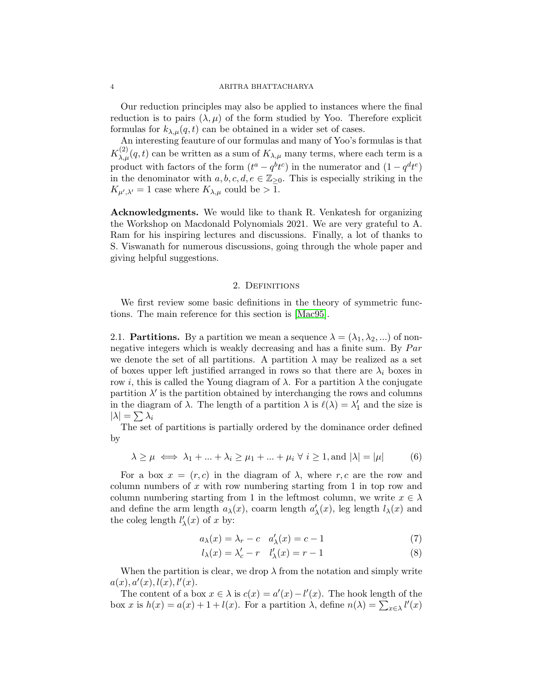#### 4 ARITRA BHATTACHARYA

Our reduction principles may also be applied to instances where the final reduction is to pairs  $(\lambda, \mu)$  of the form studied by Yoo. Therefore explicit formulas for  $k_{\lambda,\mu}(q,t)$  can be obtained in a wider set of cases.

An interesting feauture of our formulas and many of Yoo's formulas is that  $K_{\lambda,\mu}^{(2)}(q,t)$  can be written as a sum of  $K_{\lambda,\mu}$  many terms, where each term is a product with factors of the form  $(t^a - q^b t^c)$  in the numerator and  $(1 - q^d t^e)$ in the denominator with  $a, b, c, d, e \in \mathbb{Z}_{\geq 0}$ . This is especially striking in the  $K_{\mu',\lambda'}=1$  case where  $K_{\lambda,\mu}$  could be > 1.

Acknowledgments. We would like to thank R. Venkatesh for organizing the Workshop on Macdonald Polynomials 2021. We are very grateful to A. Ram for his inspiring lectures and discussions. Finally, a lot of thanks to S. Viswanath for numerous discussions, going through the whole paper and giving helpful suggestions.

### 2. Definitions

We first review some basic definitions in the theory of symmetric functions. The main reference for this section is [\[Mac95\]](#page-21-0).

2.1. **Partitions.** By a partition we mean a sequence  $\lambda = (\lambda_1, \lambda_2, \dots)$  of nonnegative integers which is weakly decreasing and has a finite sum. By  $Par$ we denote the set of all partitions. A partition  $\lambda$  may be realized as a set of boxes upper left justified arranged in rows so that there are  $\lambda_i$  boxes in row i, this is called the Young diagram of  $\lambda$ . For a partition  $\lambda$  the conjugate partition  $\lambda'$  is the partition obtained by interchanging the rows and columns in the diagram of  $\lambda$ . The length of a partition  $\lambda$  is  $\ell(\lambda) = \lambda'_1$  and the size is  $|\lambda|=\sum\lambda_i$ 

The set of partitions is partially ordered by the dominance order defined by

$$
\lambda \ge \mu \iff \lambda_1 + \dots + \lambda_i \ge \mu_1 + \dots + \mu_i \ \forall \ i \ge 1, \text{and } |\lambda| = |\mu| \tag{6}
$$

For a box  $x = (r, c)$  in the diagram of  $\lambda$ , where r, c are the row and column numbers of  $x$  with row numbering starting from 1 in top row and column numbering starting from 1 in the leftmost column, we write  $x \in \lambda$ and define the arm length  $a_{\lambda}(x)$ , coarm length  $a'_{\lambda}(x)$ , leg length  $l_{\lambda}(x)$  and the coleg length  $l'_{\lambda}(x)$  of x by:

$$
a_{\lambda}(x) = \lambda_r - c \quad a'_{\lambda}(x) = c - 1 \tag{7}
$$

$$
l_{\lambda}(x) = \lambda'_{c} - r \quad l'_{\lambda}(x) = r - 1 \tag{8}
$$

When the partition is clear, we drop  $\lambda$  from the notation and simply write  $a(x), a'(x), l(x), l'(x).$ 

The content of a box  $x \in \lambda$  is  $c(x) = a'(x) - l'(x)$ . The hook length of the box x is  $h(x) = a(x) + 1 + l(x)$ . For a partition  $\lambda$ , define  $n(\lambda) = \sum_{x \in \lambda} l'(x)$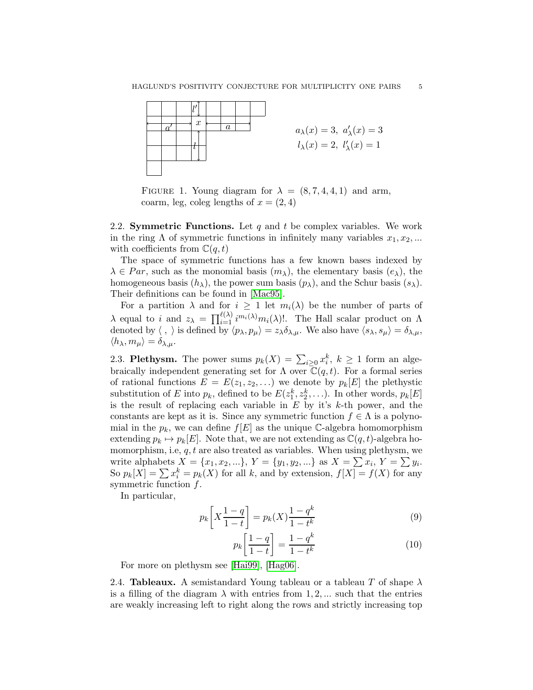

FIGURE 1. Young diagram for  $\lambda = (8, 7, 4, 4, 1)$  and arm, coarm, leg, coleg lengths of  $x = (2, 4)$ 

2.2. Symmetric Functions. Let q and t be complex variables. We work in the ring  $\Lambda$  of symmetric functions in infinitely many variables  $x_1, x_2, ...$ with coefficients from  $\mathbb{C}(q,t)$ 

The space of symmetric functions has a few known bases indexed by  $\lambda \in Par$ , such as the monomial basis  $(m_\lambda)$ , the elementary basis  $(e_\lambda)$ , the homogeneous basis  $(h_{\lambda})$ , the power sum basis  $(p_{\lambda})$ , and the Schur basis  $(s_{\lambda})$ . Their definitions can be found in [\[Mac95\]](#page-21-0).

For a partition  $\lambda$  and for  $i \geq 1$  let  $m_i(\lambda)$  be the number of parts of  $\lambda$  equal to i and  $z_{\lambda} = \prod_{i=1}^{\ell(\lambda)} i^{m_i(\lambda)} m_i(\lambda)!$ . The Hall scalar product on  $\Lambda$ denoted by  $\langle , \rangle$  is defined by  $\langle p_\lambda, p_\mu \rangle = z_\lambda \delta_{\lambda,\mu}$ . We also have  $\langle s_\lambda, s_\mu \rangle = \delta_{\lambda,\mu}$ ,  $\langle h_{\lambda}, m_{\mu} \rangle = \delta_{\lambda, \mu}.$ 

2.3. Plethysm. The power sums  $p_k(X) = \sum_{i \geq 0} x_i^k, k \geq 1$  form an algebraically independent generating set for  $\Lambda$  over  $\mathbb{C}(q, t)$ . For a formal series of rational functions  $E = E(z_1, z_2, \ldots)$  we denote by  $p_k[E]$  the plethystic substitution of E into  $p_k$ , defined to be  $E(z_1^k, z_2^k, \ldots)$ . In other words,  $p_k[E]$ is the result of replacing each variable in  $E$  by it's  $k$ -th power, and the constants are kept as it is. Since any symmetric function  $f \in \Lambda$  is a polynomial in the  $p_k$ , we can define  $f[E]$  as the unique C-algebra homomorphism extending  $p_k \mapsto p_k[E]$ . Note that, we are not extending as  $\mathbb{C}(q, t)$ -algebra homomorphism, i.e,  $q, t$  are also treated as variables. When using plethysm, we write alphabets  $X = \{x_1, x_2, ...\}$ ,  $Y = \{y_1, y_2, ...\}$  as  $X = \sum x_i$ ,  $Y = \sum y_i$ . So  $p_k[X] = \sum x_i^k = p_k(X)$  for all k, and by extension,  $f[X] = f(X)$  for any symmetric function  $f$ .

In particular,

$$
p_k \left[ X \frac{1-q}{1-t} \right] = p_k(X) \frac{1-q^k}{1-t^k} \tag{9}
$$

$$
p_k \left[ \frac{1-q}{1-t} \right] = \frac{1-q^k}{1-t^k} \tag{10}
$$

For more on plethysm see [\[Hai99\]](#page-21-10), [\[Hag06\]](#page-21-11).

2.4. **Tableaux.** A semistandard Young tableau or a tableau T of shape  $\lambda$ is a filling of the diagram  $\lambda$  with entries from 1, 2, ... such that the entries are weakly increasing left to right along the rows and strictly increasing top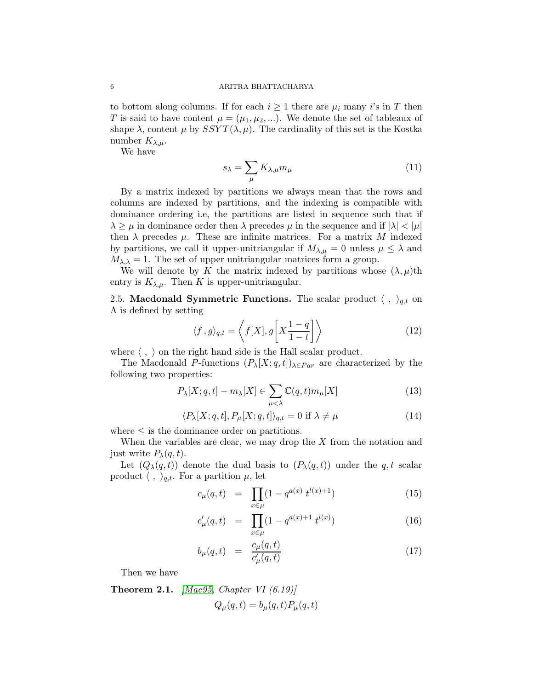#### 6 ARITRA BHATTACHARYA

to bottom along columns. If for each  $i \geq 1$  there are  $\mu_i$  many i's in T then T is said to have content  $\mu = (\mu_1, \mu_2, ...)$ . We denote the set of tableaux of shape  $\lambda$ , content  $\mu$  by  $SSYT(\lambda, \mu)$ . The cardinality of this set is the Kostka number  $K_{\lambda,\mu}$ .

We have

$$
s_{\lambda} = \sum_{\mu} K_{\lambda,\mu} m_{\mu} \tag{11}
$$

By a matrix indexed by partitions we always mean that the rows and columns are indexed by partitions, and the indexing is compatible with dominance ordering i.e, the partitions are listed in sequence such that if  $\lambda \geq \mu$  in dominance order then  $\lambda$  precedes  $\mu$  in the sequence and if  $|\lambda| < |\mu|$ then  $\lambda$  precedes  $\mu$ . These are infinite matrices. For a matrix M indexed by partitions, we call it upper-unitriangular if  $M_{\lambda,\mu} = 0$  unless  $\mu \leq \lambda$  and  $M_{\lambda,\lambda} = 1$ . The set of upper unitriangular matrices form a group.

We will denote by K the matrix indexed by partitions whose  $(\lambda, \mu)$ th entry is  $K_{\lambda,\mu}$ . Then K is upper-unitriangular.

2.5. Macdonald Symmetric Functions. The scalar product  $\langle , \rangle_{q,t}$  on  $\Lambda$  is defined by setting

$$
\langle f, g \rangle_{q,t} = \left\langle f[X], g\left[X\frac{1-q}{1-t}\right]\right\rangle \tag{12}
$$

where  $\langle , \rangle$  on the right hand side is the Hall scalar product.

The Macdonald P-functions  $(P_{\lambda}[X; q, t])_{\lambda \in Par}$  are characterized by the following two properties:

$$
P_{\lambda}[X;q,t] - m_{\lambda}[X] \in \sum_{\mu < \lambda} \mathbb{C}(q,t)m_{\mu}[X] \tag{13}
$$

$$
\langle P_{\lambda}[X;q,t], P_{\mu}[X;q,t] \rangle_{q,t} = 0 \text{ if } \lambda \neq \mu \tag{14}
$$

where  $\leq$  is the dominance order on partitions.

When the variables are clear, we may drop the  $X$  from the notation and just write  $P_{\lambda}(q,t)$ .

Let  $(Q_{\lambda}(q,t))$  denote the dual basis to  $(P_{\lambda}(q,t))$  under the q, t scalar product  $\langle , \rangle_{q,t}$ . For a partition  $\mu$ , let

$$
c_{\mu}(q,t) = \prod_{x \in \mu} (1 - q^{a(x)} t^{l(x)+1}) \tag{15}
$$

$$
c'_{\mu}(q,t) = \prod_{x \in \mu} (1 - q^{a(x)+1} t^{l(x)}) \tag{16}
$$

$$
b_{\mu}(q,t) = \frac{c_{\mu}(q,t)}{c'_{\mu}(q,t)} \tag{17}
$$

Then we have

**Theorem 2.1.** [\[Mac95,](#page-21-0) Chapter VI  $(6.19)$ ]  $Q_{\mu}(q, t) = b_{\mu}(q, t) P_{\mu}(q, t)$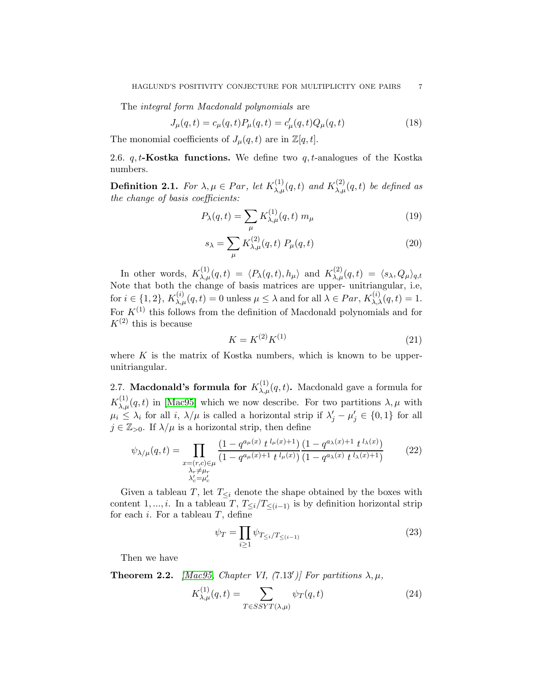The integral form Macdonald polynomials are

<span id="page-6-0"></span>
$$
J_{\mu}(q,t) = c_{\mu}(q,t)P_{\mu}(q,t) = c'_{\mu}(q,t)Q_{\mu}(q,t)
$$
\n(18)

The monomial coefficients of  $J_{\mu}(q, t)$  are in  $\mathbb{Z}[q, t]$ .

<span id="page-6-1"></span>2.6.  $q, t$ -Kostka functions. We define two  $q, t$ -analogues of the Kostka numbers.

**Definition 2.1.** For  $\lambda, \mu \in Par$ , let  $K_{\lambda,\mu}^{(1)}(q,t)$  and  $K_{\lambda,\mu}^{(2)}(q,t)$  be defined as the change of basis coefficients:

$$
P_{\lambda}(q,t) = \sum_{\mu} K_{\lambda,\mu}^{(1)}(q,t) m_{\mu} \tag{19}
$$

$$
s_{\lambda} = \sum_{\mu} K_{\lambda,\mu}^{(2)}(q,t) P_{\mu}(q,t)
$$
 (20)

In other words,  $K_{\lambda,\mu}^{(1)}(q,t) = \langle P_{\lambda}(q,t), h_{\mu} \rangle$  and  $K_{\lambda,\mu}^{(2)}(q,t) = \langle s_{\lambda}, Q_{\mu} \rangle_{q,t}$ Note that both the change of basis matrices are upper- unitriangular, i.e, for  $i \in \{1,2\}$ ,  $K_{\lambda,\mu}^{(i)}(q,t) = 0$  unless  $\mu \leq \lambda$  and for all  $\lambda \in Par$ ,  $K_{\lambda,\lambda}^{(i)}(q,t) = 1$ . For  $K^{(1)}$  this follows from the definition of Macdonald polynomials and for  $K^{(2)}$  this is because

<span id="page-6-3"></span>
$$
K = K^{(2)} K^{(1)} \tag{21}
$$

where  $K$  is the matrix of Kostka numbers, which is known to be upperunitriangular.

2.7. Macdonald's formula for  $K_{\lambda,\mu}^{(1)}(q,t)$ . Macdonald gave a formula for  $K_{\lambda,\mu}^{(1)}(q,t)$  in [\[Mac95\]](#page-21-0) which we now describe. For two partitions  $\lambda,\mu$  with  $\mu_i \leq \lambda_i$  for all i,  $\lambda/\mu$  is called a horizontal strip if  $\lambda'_j - \mu'_j \in \{0,1\}$  for all  $j \in \mathbb{Z}_{>0}$ . If  $\lambda/\mu$  is a horizontal strip, then define

$$
\psi_{\lambda/\mu}(q,t) = \prod_{\substack{x=(r,c)\in\mu\\ \lambda_r\neq\mu_r\\ \lambda'_c=\mu'_c}} \frac{(1-q^{a_\mu(x)}t^{l_\mu(x)+1})(1-q^{a_\lambda(x)+1}t^{l_\lambda(x)})}{(1-q^{a_\lambda(x)}t^{l_\lambda(x)+1})} \tag{22}
$$

Given a tableau T, let  $T_{\leq i}$  denote the shape obtained by the boxes with content 1, ..., *i*. In a tableau T,  $T_{\leq i}/T_{\leq (i-1)}$  is by definition horizontal strip for each i. For a tableau  $T$ , define

$$
\psi_T = \prod_{i \ge 1} \psi_{T_{\le i}/T_{\le (i-1)}} \tag{23}
$$

Then we have

**Theorem 2.2.** [\[Mac95,](#page-21-0) Chapter VI, (7.13')] For partitions  $\lambda, \mu$ ,

<span id="page-6-2"></span>
$$
K_{\lambda,\mu}^{(1)}(q,t) = \sum_{T \in SSYT(\lambda,\mu)} \psi_T(q,t)
$$
\n(24)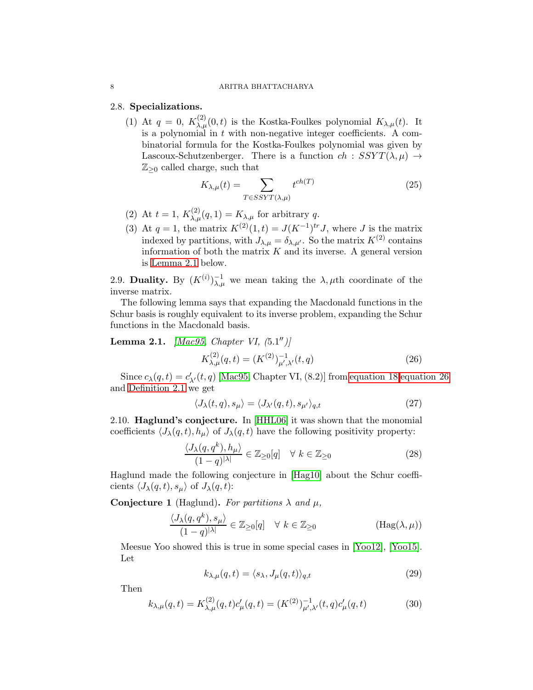#### <span id="page-7-2"></span>8 ARITRA BHATTACHARYA

## 2.8. Specializations.

(1) At  $q = 0$ ,  $K_{\lambda,\mu}^{(2)}(0,t)$  is the Kostka-Foulkes polynomial  $K_{\lambda,\mu}(t)$ . It is a polynomial in  $t$  with non-negative integer coefficients. A combinatorial formula for the Kostka-Foulkes polynomial was given by Lascoux-Schutzenberger. There is a function  $ch : SSYT(\lambda, \mu) \rightarrow$  $\mathbb{Z}_{\geq 0}$  called charge, such that

$$
K_{\lambda,\mu}(t) = \sum_{T \in SSYT(\lambda,\mu)} t^{ch(T)} \tag{25}
$$

- (2) At  $t = 1$ ,  $K_{\lambda,\mu}^{(2)}(q,1) = K_{\lambda,\mu}$  for arbitrary q.
- (3) At  $q = 1$ , the matrix  $K^{(2)}(1,t) = J(K^{-1})^{tr} J$ , where J is the matrix indexed by partitions, with  $J_{\lambda,\mu} = \delta_{\lambda,\mu'}$ . So the matrix  $K^{(2)}$  contains information of both the matrix  $K$  and its inverse. A general version is [Lemma 2.1](#page-7-0) below.

2.9. Duality. By  $(K^{(i)})_{\lambda,\mu}^{-1}$  we mean taking the  $\lambda,\mu$ th coordinate of the inverse matrix.

The following lemma says that expanding the Macdonald functions in the Schur basis is roughly equivalent to its inverse problem, expanding the Schur functions in the Macdonald basis.

<span id="page-7-0"></span>**Lemma 2.1.** [\[Mac95,](#page-21-0) Chapter VI,  $(5.1'')$ ]  $K_{\lambda,\mu}^{(2)}(q,t) = (K^{(2)})_{\mu',\lambda'}^{-1}(t,q)$  (26)

Since  $c_{\lambda}(q,t) = c'_{\lambda'}(t,q)$  [\[Mac95,](#page-21-0) Chapter VI, (8.2)] from [equation 18](#page-6-0), equation 26 and [Definition 2.1](#page-6-1) we get

<span id="page-7-3"></span><span id="page-7-1"></span>
$$
\langle J_{\lambda}(t,q), s_{\mu} \rangle = \langle J_{\lambda'}(q,t), s_{\mu'} \rangle_{q,t}
$$
\n(27)

2.10. Haglund's conjecture. In [\[HHL06\]](#page-21-2) it was shown that the monomial coefficients  $\langle J_{\lambda}(q, t), h_{\mu} \rangle$  of  $J_{\lambda}(q, t)$  have the following positivity property:

$$
\frac{\langle J_{\lambda}(q, q^k), h_{\mu} \rangle}{(1-q)^{|\lambda|}} \in \mathbb{Z}_{\geq 0}[q] \quad \forall \ k \in \mathbb{Z}_{\geq 0}
$$
\n
$$
(28)
$$

Haglund made the following conjecture in [\[Hag10\]](#page-21-8) about the Schur coefficients  $\langle J_{\lambda}(q, t), s_{\mu} \rangle$  of  $J_{\lambda}(q, t)$ :

Conjecture 1 (Haglund). For partitions  $\lambda$  and  $\mu$ ,

$$
\frac{\langle J_{\lambda}(q, q^k), s_{\mu}\rangle}{(1-q)^{|\lambda|}} \in \mathbb{Z}_{\geq 0}[q] \quad \forall \ k \in \mathbb{Z}_{\geq 0}
$$
\n(Hag $(\lambda, \mu)$ )

Meesue Yoo showed this is true in some special cases in [\[Yoo12\]](#page-21-6), [\[Yoo15\]](#page-21-7). Let

<span id="page-7-4"></span>
$$
k_{\lambda,\mu}(q,t) = \langle s_{\lambda}, J_{\mu}(q,t) \rangle_{q,t} \tag{29}
$$

Then

<span id="page-7-5"></span>
$$
k_{\lambda,\mu}(q,t) = K_{\lambda,\mu}^{(2)}(q,t)c'_{\mu}(q,t) = (K^{(2)})^{-1}_{\mu',\lambda'}(t,q)c'_{\mu}(q,t)
$$
(30)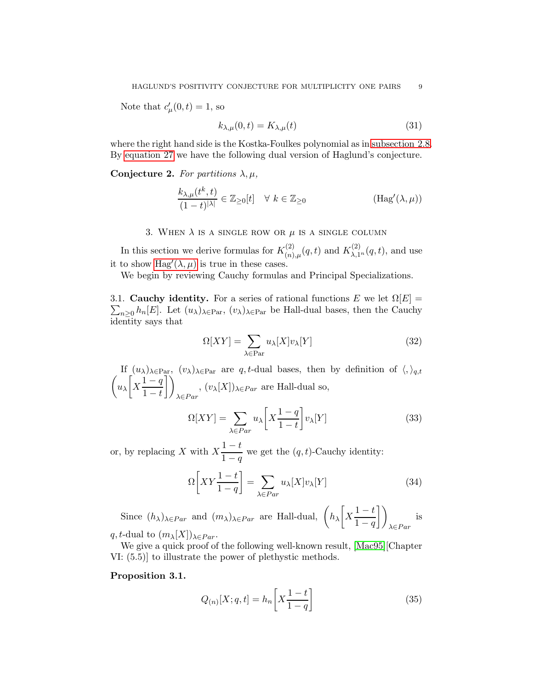Note that  $c'_{\mu}(0,t) = 1$ , so

<span id="page-8-0"></span>
$$
k_{\lambda,\mu}(0,t) = K_{\lambda,\mu}(t) \tag{31}
$$

where the right hand side is the Kostka-Foulkes polynomial as in [subsection 2.8.](#page-7-2) By [equation 27](#page-7-3) we have the following dual version of Haglund's conjecture.

## Conjecture 2. For partitions  $\lambda, \mu$ ,

$$
\frac{k_{\lambda,\mu}(t^k,t)}{(1-t)^{|\lambda|}} \in \mathbb{Z}_{\geq 0}[t] \quad \forall \ k \in \mathbb{Z}_{\geq 0}
$$
 (Hag'(\lambda,\mu))

## 3. WHEN  $\lambda$  is a single row or  $\mu$  is a single column

In this section we derive formulas for  $K_{(n)}^{(2)}$  $K_{(\n)}^{(2)}(q,t)$  and  $K_{\lambda,1}^{(2)}(q,t)$ , and use it to show  $\text{Hag}'(\lambda,\mu)$  is true in these cases.

We begin by reviewing Cauchy formulas and Principal Specializations.

3.1. Cauchy identity. For a series of rational functions E we let  $\Omega[E] =$  $\sum_{n\geq 0} h_n[E]$ . Let  $(u_\lambda)_{\lambda\in\text{Par}}$ ,  $(v_\lambda)_{\lambda\in\text{Par}}$  be Hall-dual bases, then the Cauchy identity says that

$$
\Omega[XY] = \sum_{\lambda \in \text{Par}} u_{\lambda}[X]v_{\lambda}[Y] \tag{32}
$$

If  $(u_\lambda)_{\lambda \in \text{Par}}$ ,  $(v_\lambda)_{\lambda \in \text{Par}}$  are q, t-dual bases, then by definition of  $\langle, \rangle_{q,t}$  $\left(u_{\lambda}\right) \left[X\frac{1-q}{1-t}\right]$  $1 - t$  $\bigcup$  $\lambda \in Par$ ,  $(v_\lambda[X])_{\lambda \in Par}$  are Hall-dual so,

$$
\Omega[XY] = \sum_{\lambda \in Par} u_{\lambda} \left[ X \frac{1-q}{1-t} \right] v_{\lambda}[Y] \tag{33}
$$

or, by replacing X with  $X\frac{1-t}{1-t}$  $\frac{1}{1-q}$  we get the  $(q, t)$ -Cauchy identity:

<span id="page-8-1"></span>
$$
\Omega\left[XY\frac{1-t}{1-q}\right] = \sum_{\lambda \in Par} u_{\lambda}[X]v_{\lambda}[Y] \tag{34}
$$

Since  $(h_{\lambda})_{\lambda \in Par}$  and  $(m_{\lambda})_{\lambda \in Par}$  are Hall-dual,  $\left(h_{\lambda}\right)X\frac{1-t}{1-x}$  $1 - q$  $\bigcup$  $\lambda \in Par$ is q, t-dual to  $(m_\lambda[X])_{\lambda \in Par}$ .

<span id="page-8-2"></span>We give a quick proof of the following well-known result, [\[Mac95\]](#page-21-0)[Chapter VI: (5.5)] to illustrate the power of plethystic methods.

## Proposition 3.1.

$$
Q_{(n)}[X;q,t] = h_n \left[ X \frac{1-t}{1-q} \right] \tag{35}
$$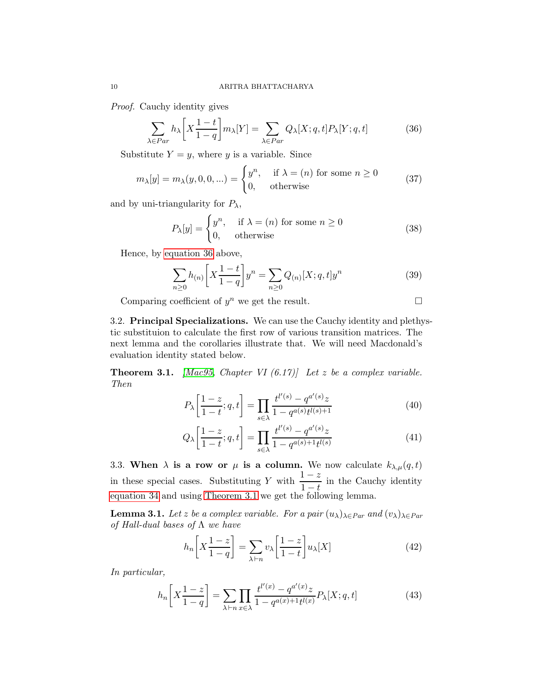Proof. Cauchy identity gives

<span id="page-9-0"></span>
$$
\sum_{\lambda \in Par} h_{\lambda} \left[ X \frac{1-t}{1-q} \right] m_{\lambda}[Y] = \sum_{\lambda \in Par} Q_{\lambda}[X; q, t] P_{\lambda}[Y; q, t] \tag{36}
$$

Substitute  $Y = y$ , where y is a variable. Since

$$
m_{\lambda}[y] = m_{\lambda}(y, 0, 0, \ldots) = \begin{cases} y^n, & \text{if } \lambda = (n) \text{ for some } n \ge 0 \\ 0, & \text{otherwise} \end{cases}
$$
 (37)

and by uni-triangularity for  $P_{\lambda}$ ,

$$
P_{\lambda}[y] = \begin{cases} y^n, & \text{if } \lambda = (n) \text{ for some } n \ge 0\\ 0, & \text{otherwise} \end{cases}
$$
 (38)

Hence, by [equation 36](#page-9-0) above,

$$
\sum_{n\geq 0} h_{(n)} \bigg[ X \frac{1-t}{1-q} \bigg] y^n = \sum_{n\geq 0} Q_{(n)} [X; q, t] y^n \tag{39}
$$

Comparing coefficient of  $y^n$  we get the result.

3.2. Principal Specializations. We can use the Cauchy identity and plethystic substituion to calculate the first row of various transition matrices. The next lemma and the corollaries illustrate that. We will need Macdonald's evaluation identity stated below.

<span id="page-9-1"></span>**Theorem 3.1.** [\[Mac95,](#page-21-0) Chapter VI  $(6.17)$ ] Let z be a complex variable. Then

$$
P_{\lambda} \left[ \frac{1-z}{1-t}; q, t \right] = \prod_{s \in \lambda} \frac{t^{l'(s)} - q^{a'(s)} z}{1 - q^{a(s)} t^{l(s)+1}} \tag{40}
$$

$$
Q_{\lambda} \left[ \frac{1-z}{1-t}; q, t \right] = \prod_{s \in \lambda} \frac{t^{l'(s)} - q^{a'(s)} z}{1 - q^{a(s) + 1} t^{l(s)}} \tag{41}
$$

3.3. When  $\lambda$  is a row or  $\mu$  is a column. We now calculate  $k_{\lambda,\mu}(q,t)$ in these special cases. Substituting Y with  $\frac{1-z}{1-t}$  in the Cauchy identity [equation 34](#page-8-1) and using [Theorem 3.1](#page-9-1) we get the following lemma.

<span id="page-9-3"></span>**Lemma 3.1.** Let z be a complex variable. For a pair  $(u_\lambda)_{\lambda \in Par}$  and  $(v_\lambda)_{\lambda \in Par}$ of Hall-dual bases of  $\Lambda$  we have

$$
h_n\left[X\frac{1-z}{1-q}\right] = \sum_{\lambda \vdash n} v_\lambda \left[\frac{1-z}{1-t}\right] u_\lambda[X] \tag{42}
$$

In particular,

<span id="page-9-2"></span>
$$
h_n\left[X\frac{1-z}{1-q}\right] = \sum_{\lambda \vdash n} \prod_{x \in \lambda} \frac{t^{l'(x)} - q^{a'(x)}z}{1 - q^{a(x) + 1}t^{l(x)}} P_\lambda[X; q, t] \tag{43}
$$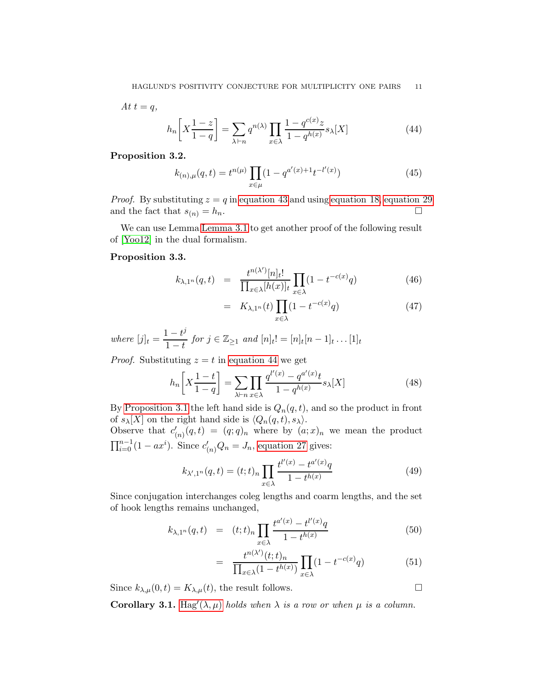$$
At \ t = q,
$$
\n
$$
h_n \left[ X \frac{1-z}{1-q} \right] = \sum_{\lambda \vdash n} q^{n(\lambda)} \prod_{x \in \lambda} \frac{1-q^{c(x)}z}{1-q^{h(x)}} s_\lambda[X] \tag{44}
$$

### <span id="page-10-0"></span>Proposition 3.2.

<span id="page-10-2"></span><span id="page-10-1"></span>
$$
k_{(n),\mu}(q,t) = t^{n(\mu)} \prod_{x \in \mu} (1 - q^{a'(x) + 1} t^{-l'(x)}) \tag{45}
$$

*Proof.* By substituting  $z = q$  in [equation 43](#page-9-2) and using [equation 18,](#page-6-0) [equation 29](#page-7-4) and the fact that  $s_{(n)} = h_n$ .

<span id="page-10-3"></span>We can use Lemma [Lemma 3.1](#page-9-3) to get another proof of the following result of [\[Yoo12\]](#page-21-6) in the dual formalism.

## Proposition 3.3.

$$
k_{\lambda,1^n}(q,t) = \frac{t^{n(\lambda')}[n]_t!}{\prod_{x \in \lambda} [h(x)]_t} \prod_{x \in \lambda} (1 - t^{-c(x)}q)
$$
(46)

$$
= K_{\lambda,1^n}(t) \prod_{x \in \lambda} (1 - t^{-c(x)} q) \tag{47}
$$

where  $[j]_t = \frac{1-t^j}{1-t}$  $\frac{1-v}{1-t}$  for  $j \in \mathbb{Z}_{\geq 1}$  and  $[n]_t! = [n]_t[n-1]_t \dots [1]_t$ 

*Proof.* Substituting  $z = t$  in [equation 44](#page-10-1) we get

$$
h_n\left[X\frac{1-t}{1-q}\right] = \sum_{\lambda \vdash n} \prod_{x \in \lambda} \frac{q^{l'(x)} - q^{a'(x)}t}{1 - q^{h(x)}} s_\lambda[X] \tag{48}
$$

By [Proposition 3.1](#page-8-2) the left hand side is  $Q_n(q, t)$ , and so the product in front of  $s_{\lambda}[X]$  on the right hand side is  $\langle Q_n(q, t), s_{\lambda} \rangle$ .

Observe that  $c'_{(n)}(q,t) = (q;q)_n$  where by  $(a;x)_n$  we mean the product  $\prod_{i=0}^{n-1} (1 - ax^i)$ . Since  $c'_{(n)}Q_n = J_n$ , [equation 27](#page-7-3) gives:

$$
k_{\lambda',1^n}(q,t) = (t;t)_n \prod_{x \in \lambda} \frac{t^{l'(x)} - t^{a'(x)}q}{1 - t^{h(x)}}
$$
(49)

Since conjugation interchanges coleg lengths and coarm lengths, and the set of hook lengths remains unchanged,

$$
k_{\lambda,1^n}(q,t) = (t;t)_n \prod_{x \in \lambda} \frac{t^{a'(x)} - t^{l'(x)}q}{1 - t^{h(x)}}
$$
(50)

$$
= \frac{t^{n(\lambda')}(t;t)_n}{\prod_{x \in \lambda} (1 - t^{h(x)})} \prod_{x \in \lambda} (1 - t^{-c(x)}q) \tag{51}
$$

Since  $k_{\lambda,\mu}(0,t) = K_{\lambda,\mu}(t)$ , the result follows.

<span id="page-10-4"></span>**Corollary 3.1.** [Hag](#page-8-0)'( $\lambda, \mu$ ) holds when  $\lambda$  is a row or when  $\mu$  is a column.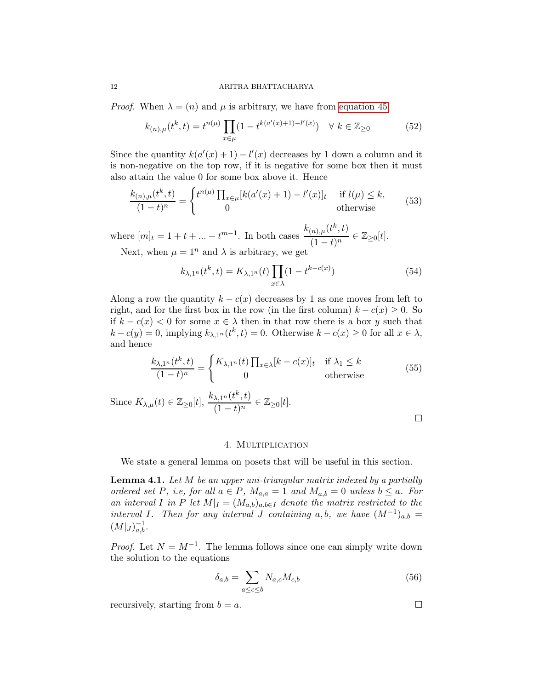*Proof.* When  $\lambda = (n)$  and  $\mu$  is arbitrary, we have from [equation 45](#page-10-2)

$$
k_{(n),\mu}(t^k,t) = t^{n(\mu)} \prod_{x \in \mu} (1 - t^{k(a'(x)+1) - l'(x)}) \quad \forall \ k \in \mathbb{Z}_{\geq 0}
$$
 (52)

Since the quantity  $k(a'(x) + 1) - l'(x)$  decreases by 1 down a column and it is non-negative on the top row, if it is negative for some box then it must also attain the value 0 for some box above it. Hence

$$
\frac{k_{(n),\mu}(t^k,t)}{(1-t)^n} = \begin{cases} t^{n(\mu)} \prod_{x \in \mu} [k(a'(x)+1) - l'(x)]_t & \text{if } l(\mu) \le k, \\ 0 & \text{otherwise} \end{cases}
$$
(53)

where  $[m]_t = 1 + t + ... + t^{m-1}$ . In both cases  $\frac{k_{(n),\mu}(t^k,t)}{(1-t)^m}$  $\frac{\overline{f}(n), \mu \overline{f}(t), \overline{f}(t)}{(1-t)^n} \in \mathbb{Z}_{\geq 0}[t].$ 

Next, when  $\mu = 1^n$  and  $\lambda$  is arbitrary, we get

$$
k_{\lambda,1^n}(t^k,t) = K_{\lambda,1^n}(t) \prod_{x \in \lambda} (1 - t^{k - c(x)})
$$
\n(54)

Along a row the quantity  $k - c(x)$  decreases by 1 as one moves from left to right, and for the first box in the row (in the first column)  $k - c(x) \geq 0$ . So if  $k - c(x) < 0$  for some  $x \in \lambda$  then in that row there is a box y such that  $k - c(y) = 0$ , implying  $k_{\lambda, 1^n}(t^k, t) = 0$ . Otherwise  $k - c(x) \ge 0$  for all  $x \in \lambda$ , and hence

$$
\frac{k_{\lambda,1^n}(t^k,t)}{(1-t)^n} = \begin{cases} K_{\lambda,1^n}(t) \prod_{x \in \lambda} [k-c(x)]_t & \text{if } \lambda_1 \le k \\ 0 & \text{otherwise} \end{cases}
$$
(55)

Since  $K_{\lambda,\mu}(t) \in \mathbb{Z}_{\geq 0}[t], \frac{k_{\lambda,1^n}(t^k,t)}{(1-t)^n}$  $\frac{\lambda, 1^n(\ell, \ell)}{(1-t)^n} \in \mathbb{Z}_{\geq 0}[t].$ 

### 4. Multiplication

<span id="page-11-0"></span>We state a general lemma on posets that will be useful in this section.

**Lemma 4.1.** Let  $M$  be an upper uni-triangular matrix indexed by a partially ordered set P, i.e, for all  $a \in P$ ,  $M_{a,a} = 1$  and  $M_{a,b} = 0$  unless  $b \le a$ . For an interval I in P let  $M|_I = (M_{a,b})_{a,b \in I}$  denote the matrix restricted to the interval I. Then for any interval J containing a,b, we have  $(M^{-1})_{a,b} =$  $(M|_J)_{a,b}^{-1}.$ 

*Proof.* Let  $N = M^{-1}$ . The lemma follows since one can simply write down the solution to the equations

$$
\delta_{a,b} = \sum_{a \le c \le b} N_{a,c} M_{c,b} \tag{56}
$$

recursively, starting from  $b = a$ .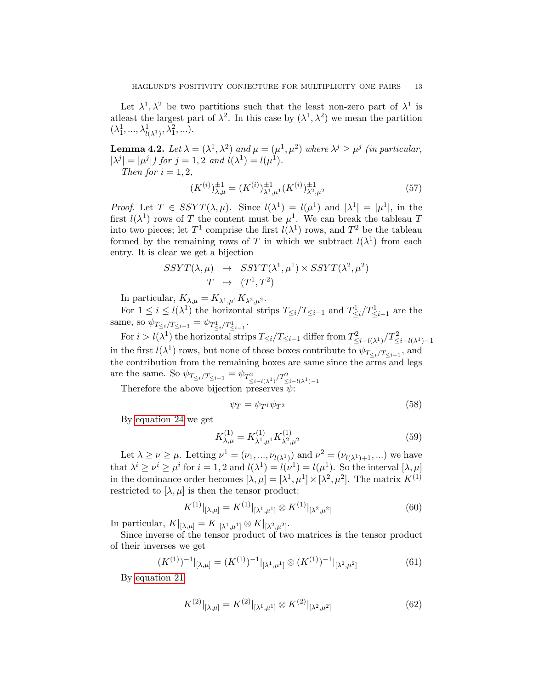Let  $\lambda^1, \lambda^2$  be two partitions such that the least non-zero part of  $\lambda^1$  is at least the largest part of  $\lambda^2$ . In this case by  $(\lambda^1, \lambda^2)$  we mean the partition  $(\lambda_1^1, ..., \lambda_{l(\lambda^1)}^1, \lambda_1^2, ...).$ 

<span id="page-12-0"></span>**Lemma 4.2.** Let  $\lambda = (\lambda^1, \lambda^2)$  and  $\mu = (\mu^1, \mu^2)$  where  $\lambda^j \geq \mu^j$  (in particular,  $|\lambda^j| = |\mu^j|$  for  $j = 1, 2$  and  $l(\lambda^1) = l(\mu^1)$ . Then for  $i = 1, 2$ ,

$$
(K^{(i)})_{\lambda,\mu}^{\pm 1} = (K^{(i)})_{\lambda^1,\mu^1}^{\pm 1} (K^{(i)})_{\lambda^2,\mu^2}^{\pm 1}
$$
 (57)

*Proof.* Let  $T \in SSYT(\lambda, \mu)$ . Since  $l(\lambda^1) = l(\mu^1)$  and  $|\lambda^1| = |\mu^1|$ , in the first  $l(\lambda^1)$  rows of T the content must be  $\mu^1$ . We can break the tableau T into two pieces; let  $T^1$  comprise the first  $l(\lambda^1)$  rows, and  $T^2$  be the tableau formed by the remaining rows of T in which we subtract  $l(\lambda^1)$  from each entry. It is clear we get a bijection

$$
SSYT(\lambda, \mu) \rightarrow SSYT(\lambda^1, \mu^1) \times SSYT(\lambda^2, \mu^2)
$$
  

$$
T \rightarrow (T^1, T^2)
$$

In particular,  $K_{\lambda,\mu} = K_{\lambda^1,\mu^1} K_{\lambda^2,\mu^2}$ .

For  $1 \leq i \leq l(\lambda^1)$  the horizontal strips  $T_{\leq i}/T_{\leq i-1}$  and  $T_{\leq i}/T_{\leq i-1}^1$  are the same, so  $\psi_{T_{\leq i}/T_{\leq i-1}} = \psi_{T_{\leq i}/T_{\leq i-1}}$ .

For  $i > l(\lambda^1)$  the horizontal strips  $T_{\leq i}/T_{\leq i-1}$  differ from  $T^2_{\leq i-l(\lambda^1)}/T^2_{\leq i-l(\lambda^1)-1}$ in the first  $l(\lambda^1)$  rows, but none of those boxes contribute to  $\psi_{T_{\leq i}/T_{\leq i-1}}$ , and the contribution from the remaining boxes are same since the arms and legs are the same. So  $\psi_{T_{\leq i}/T_{\leq i-1}} = \psi_{T^2_{\leq i-l(\lambda^1)}/T^2_{\leq i-l(\lambda^1)-1}}$ 

Therefore the above bijection preserves  $\psi$ :

$$
\psi_T = \psi_{T^1} \psi_{T^2} \tag{58}
$$

By [equation 24](#page-6-2) we get

$$
K_{\lambda,\mu}^{(1)} = K_{\lambda^1,\mu^1}^{(1)} K_{\lambda^2,\mu^2}^{(1)} \tag{59}
$$

Let  $\lambda \ge \nu \ge \mu$ . Letting  $\nu^1 = (\nu_1, ..., \nu_{l(\lambda^1)})$  and  $\nu^2 = (\nu_{l(\lambda^1)+1}, ...)$  we have that  $\lambda^i \geq \nu^i \geq \mu^i$  for  $i = 1, 2$  and  $l(\lambda^1) = l(\nu^1) = l(\mu^1)$ . So the interval  $[\lambda, \mu]$ in the dominance order becomes  $[\lambda, \mu] = [\lambda^1, \mu^1] \times [\lambda^2, \mu^2]$ . The matrix  $K^{(1)}$ restricted to  $[\lambda, \mu]$  is then the tensor product:

$$
K^{(1)}|_{[\lambda,\mu]} = K^{(1)}|_{[\lambda^1,\mu^1]} \otimes K^{(1)}|_{[\lambda^2,\mu^2]} \tag{60}
$$

In particular,  $K|_{\lbrack \lambda,\mu \rbrack} = K|_{\lbrack \lambda^1,\mu^1 \rbrack} \otimes K|_{\lbrack \lambda^2,\mu^2 \rbrack}.$ 

Since inverse of the tensor product of two matrices is the tensor product of their inverses we get

$$
(K^{(1)})^{-1}|_{[\lambda,\mu]} = (K^{(1)})^{-1}|_{[\lambda^1,\mu^1]} \otimes (K^{(1)})^{-1}|_{[\lambda^2,\mu^2]}
$$
(61)

By [equation 21](#page-6-3)

$$
K^{(2)}|_{[\lambda,\mu]} = K^{(2)}|_{[\lambda^1,\mu^1]} \otimes K^{(2)}|_{[\lambda^2,\mu^2]} \tag{62}
$$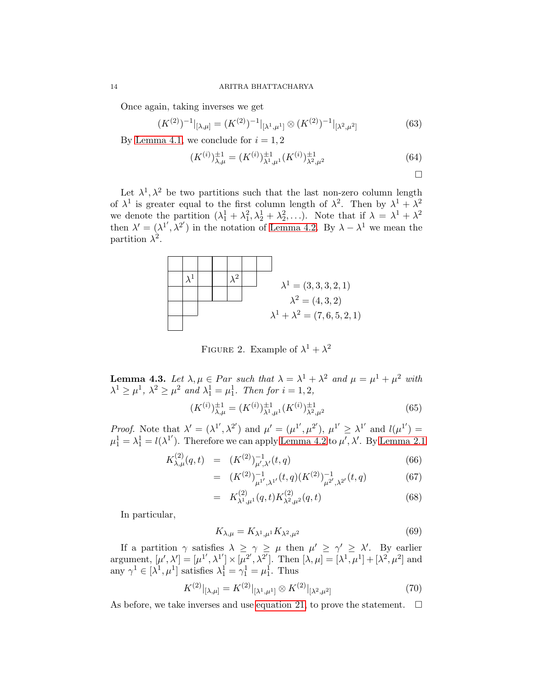Once again, taking inverses we get

$$
(K^{(2)})^{-1}|_{[\lambda,\mu]} = (K^{(2)})^{-1}|_{[\lambda^1,\mu^1]} \otimes (K^{(2)})^{-1}|_{[\lambda^2,\mu^2]}
$$
(63)

By [Lemma 4.1,](#page-11-0) we conclude for  $i = 1, 2$ 

$$
(K^{(i)})_{\lambda,\mu}^{\pm 1} = (K^{(i)})_{\lambda^1,\mu^1}^{\pm 1} (K^{(i)})_{\lambda^2,\mu^2}^{\pm 1}
$$
 (64)

$$
\qquad \qquad \Box
$$

Let  $\lambda^1, \lambda^2$  be two partitions such that the last non-zero column length of  $\lambda^1$  is greater equal to the first column length of  $\lambda^2$ . Then by  $\lambda^1 + \lambda^2$ we denote the partition  $(\lambda_1^1 + \lambda_1^2, \lambda_2^1 + \lambda_2^2, \ldots)$ . Note that if  $\lambda = \lambda^1 + \lambda^2$ then  $\lambda' = (\lambda^{1'}, \lambda^{2'})$  in the notation of [Lemma 4.2.](#page-12-0) By  $\lambda - \lambda^{1}$  we mean the partition  $\lambda^2$ .



FIGURE 2. Example of  $\lambda^1 + \lambda^2$ 

<span id="page-13-0"></span>**Lemma 4.3.** Let  $\lambda, \mu \in Par$  such that  $\lambda = \lambda^1 + \lambda^2$  and  $\mu = \mu^1 + \mu^2$  with  $\lambda^1 \ge \mu^1$ ,  $\lambda^2 \ge \mu^2$  and  $\lambda_1^1 = \mu_1^1$ . Then for  $i = 1, 2$ ,

$$
(K^{(i)})_{\lambda,\mu}^{\pm 1} = (K^{(i)})_{\lambda^1,\mu^1}^{\pm 1} (K^{(i)})_{\lambda^2,\mu^2}^{\pm 1}
$$
 (65)

*Proof.* Note that  $\lambda' = (\lambda^{1'}, \lambda^{2'})$  and  $\mu' = (\mu^{1'}, \mu^{2'})$ ,  $\mu^{1'} \geq \lambda^{1'}$  and  $l(\mu^{1'}) =$  $\mu_1^1 = \lambda_1^1 = l(\lambda^{1'})$ . Therefore we can apply [Lemma 4.2](#page-12-0) to  $\mu', \lambda'$ . By [Lemma 2.1](#page-7-0)

$$
K_{\lambda,\mu}^{(2)}(q,t) = (K^{(2)})_{\mu',\lambda'}^{-1}(t,q)
$$
\n(66)

$$
= (K^{(2)})^{-1}_{\mu^{1'},\lambda^{1'}}(t,q)(K^{(2)})^{-1}_{\mu^{2'},\lambda^{2'}}(t,q) \tag{67}
$$

$$
= K^{(2)}_{\lambda^1,\mu^1}(q,t)K^{(2)}_{\lambda^2,\mu^2}(q,t)
$$
\n(68)

In particular,

$$
K_{\lambda,\mu} = K_{\lambda^1,\mu^1} K_{\lambda^2,\mu^2} \tag{69}
$$

If a partition  $\gamma$  satisfies  $\lambda \geq \gamma \geq \mu$  then  $\mu' \geq \gamma' \geq \lambda'$ . By earlier argument,  $[\mu', \lambda'] = [\mu^{1'}, \lambda^{1'}] \times [\mu^{2'}, \lambda^{2'}]$ . Then  $[\lambda, \mu] = [\lambda^1, \mu^1] + [\lambda^2, \mu^2]$  and any  $\gamma^1 \in [\lambda^1, \mu^1]$  satisfies  $\lambda_1^1 = \gamma_1^1 = \mu_1^1$ . Thus

$$
K^{(2)}|_{[\lambda,\mu]} = K^{(2)}|_{[\lambda^1,\mu^1]} \otimes K^{(2)}|_{[\lambda^2,\mu^2]} \tag{70}
$$

As before, we take inverses and use [equation 21,](#page-6-3) to prove the statement.  $\Box$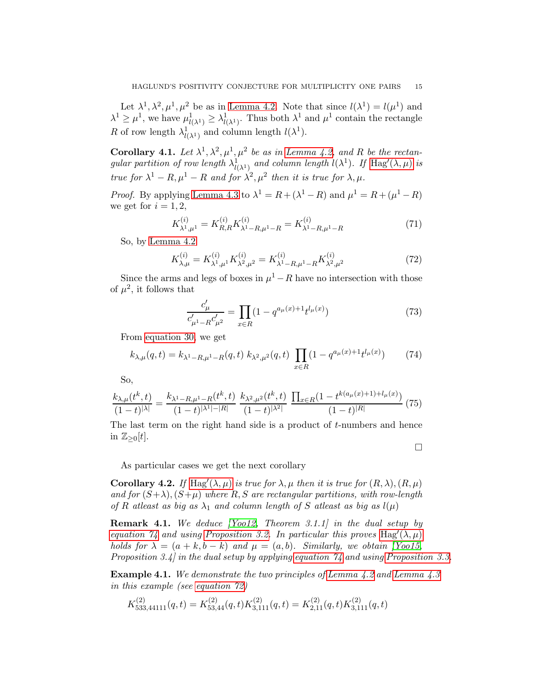Let  $\lambda^1, \lambda^2, \mu^1, \mu^2$  be as in [Lemma 4.2.](#page-12-0) Note that since  $l(\lambda^1) = l(\mu^1)$  and  $\lambda^1 \geq \mu^1$ , we have  $\mu^1_{l(\lambda^1)} \geq \lambda^1_{l(\lambda^1)}$ . Thus both  $\lambda^1$  and  $\mu^1$  contain the rectangle R of row length  $\lambda^1_{l(\lambda^1)}$  and column length  $l(\lambda^1)$ .

<span id="page-14-0"></span>**Corollary 4.1.** Let  $\lambda^1, \lambda^2, \mu^1, \mu^2$  be as in [Lemma 4.2,](#page-12-0) and R be the rectangular partition of row length  $\lambda^1_{l(\lambda^1)}$  and column length  $l(\lambda^1)$ . If  $\text{Hag}'(\lambda,\mu)$  $\text{Hag}'(\lambda,\mu)$  $\text{Hag}'(\lambda,\mu)$  is true for  $\lambda^1 - R$ ,  $\mu^1 - R$  and for  $\lambda^2$ ,  $\mu^2$  then it is true for  $\lambda$ ,  $\mu$ .

*Proof.* By applying [Lemma 4.3](#page-13-0) to  $\lambda^1 = R + (\lambda^1 - R)$  and  $\mu^1 = R + (\mu^1 - R)$ we get for  $i = 1, 2$ ,

$$
K_{\lambda^1,\mu^1}^{(i)} = K_{R,R}^{(i)} K_{\lambda^1 - R,\mu^1 - R}^{(i)} = K_{\lambda^1 - R,\mu^1 - R}^{(i)} \tag{71}
$$

So, by [Lemma 4.2](#page-12-0)

<span id="page-14-2"></span>
$$
K_{\lambda,\mu}^{(i)} = K_{\lambda^1,\mu^1}^{(i)} K_{\lambda^2,\mu^2}^{(i)} = K_{\lambda^1 - R,\mu^1 - R}^{(i)} K_{\lambda^2,\mu^2}^{(i)} \tag{72}
$$

Since the arms and legs of boxes in  $\mu^1 - R$  have no intersection with those of  $\mu^2$ , it follows that

$$
\frac{c'_{\mu}}{c'_{\mu^1 - R} c'_{\mu^2}} = \prod_{x \in R} (1 - q^{a_{\mu}(x) + 1} t^{l_{\mu}(x)})
$$
\n(73)

From [equation 30,](#page-7-5) we get

<span id="page-14-1"></span>
$$
k_{\lambda,\mu}(q,t) = k_{\lambda^1 - R,\mu^1 - R}(q,t) k_{\lambda^2,\mu^2}(q,t) \prod_{x \in R} (1 - q^{a_{\mu}(x) + 1} t^{l_{\mu}(x)}) \tag{74}
$$

So,

$$
\frac{k_{\lambda,\mu}(t^k,t)}{(1-t)^{|\lambda|}} = \frac{k_{\lambda^1 - R,\mu^1 - R}(t^k,t)}{(1-t)^{|\lambda^1| - |R|}} \frac{k_{\lambda^2,\mu^2}(t^k,t)}{(1-t)^{|\lambda^2|}} \frac{\prod_{x \in R} (1 - t^{k(a_\mu(x) + 1) + l_\mu(x)})}{(1-t)^{|R|}} (75)
$$

The last term on the right hand side is a product of t-numbers and hence in  $\mathbb{Z}_{\geq 0}[t]$ .

 $\Box$ 

As particular cases we get the next corollary

**Corollary 4.2.** If [Hag](#page-8-0)'( $\lambda, \mu$ ) is true for  $\lambda, \mu$  then it is true for  $(R, \lambda), (R, \mu)$ and for  $(S+\lambda)$ ,  $(S+\mu)$  where R, S are rectangular partitions, with row-length of R atleast as big as  $\lambda_1$  and column length of S atleast as big as  $l(\mu)$ 

Remark 4.1. We deduce [\[Yoo12,](#page-21-6) Theorem 3.1.1] in the dual setup by equation  $\mathcal{U}_4$  and using [Proposition 3.2.](#page-10-0) In particular this proves [Hag](#page-8-0)'( $\lambda, \mu$ ) holds for  $\lambda = (a + k, b - k)$  and  $\mu = (a, b)$ . Similarly, we obtain [\[Yoo15,](#page-21-7) Proposition 3.4] in the dual setup by applying [equation 74](#page-14-1) and using [Proposition 3.3.](#page-10-3)

**Example 4.1.** We demonstrate the two principles of [Lemma 4.2](#page-12-0) and [Lemma 4.3](#page-13-0) in this example (see [equation 72\)](#page-14-2)

$$
K_{533,44111}^{(2)}(q,t) = K_{53,44}^{(2)}(q,t)K_{3,111}^{(2)}(q,t) = K_{2,11}^{(2)}(q,t)K_{3,111}^{(2)}(q,t)
$$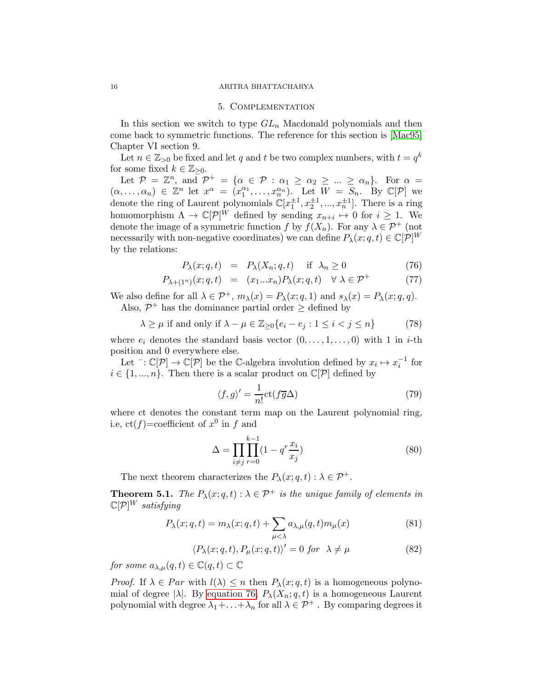#### 16 ARITRA BHATTACHARYA

### 5. Complementation

In this section we switch to type  $GL_n$  Macdonald polynomials and then come back to symmetric functions. The reference for this section is [\[Mac95\]](#page-21-0) Chapter VI section 9.

Let  $n \in \mathbb{Z}_{>0}$  be fixed and let q and t be two complex numbers, with  $t = q^k$ for some fixed  $k \in \mathbb{Z}_{\geq 0}$ .

Let  $\mathcal{P} = \mathbb{Z}^n$ , and  $\mathcal{P}^+ = \{ \alpha \in \mathcal{P} : \alpha_1 \geq \alpha_2 \geq ... \geq \alpha_n \}.$  For  $\alpha =$  $(\alpha, \ldots, \alpha_n) \in \mathbb{Z}^n$  let  $x^{\alpha} = (x_1^{\alpha_1}, \ldots, x_n^{\alpha_n})$ . Let  $W = S_n$ . By  $\mathbb{C}[\mathcal{P}]$  we denote the ring of Laurent polynomials  $\mathbb{C}[x_1^{\pm 1}, x_2^{\pm 1}, ..., x_n^{\pm 1}]$ . There is a ring homomorphism  $\Lambda \to \mathbb{C}[\mathcal{P}]^W$  defined by sending  $x_{n+i} \mapsto 0$  for  $i \geq 1$ . We denote the image of a symmetric function f by  $f(X_n)$ . For any  $\lambda \in \mathcal{P}^+$  (not necessarily with non-negative coordinates) we can define  $P_{\lambda}(x; q, t) \in \mathbb{C}[\mathcal{P}]^W$ by the relations:

<span id="page-15-0"></span>
$$
P_{\lambda}(x;q,t) = P_{\lambda}(X_n;q,t) \quad \text{if } \lambda_n \ge 0 \tag{76}
$$

$$
P_{\lambda+(1^n)}(x;q,t) = (x_1...x_n)P_{\lambda}(x;q,t) \quad \forall \lambda \in \mathcal{P}^+ \tag{77}
$$

We also define for all  $\lambda \in \mathcal{P}^+$ ,  $m_\lambda(x) = P_\lambda(x; q, 1)$  and  $s_\lambda(x) = P_\lambda(x; q, q)$ . Also,  $\mathcal{P}^+$  has the dominance partial order  $\geq$  defined by

$$
\lambda \ge \mu \text{ if and only if } \lambda - \mu \in \mathbb{Z}_{\ge 0} \{ e_i - e_j : 1 \le i < j \le n \}
$$
 (78)

where  $e_i$  denotes the standard basis vector  $(0, \ldots, 1, \ldots, 0)$  with 1 in *i*-th position and 0 everywhere else.

Let  $\bar{\mathcal{L}}: \mathbb{C}[\mathcal{P}] \to \mathbb{C}[\mathcal{P}]$  be the C-algebra involution defined by  $x_i \mapsto x_i^{-1}$  for  $i \in \{1, ..., n\}$ . Then there is a scalar product on  $\mathbb{C}[\mathcal{P}]$  defined by

$$
\langle f, g \rangle' = \frac{1}{n!} \text{ct}(f\overline{g}\Delta) \tag{79}
$$

where ct denotes the constant term map on the Laurent polynomial ring, i.e,  $ct(f) = \text{coefficient of } x^0$  in f and

$$
\Delta = \prod_{i \neq j} \prod_{r=0}^{k-1} (1 - q^r \frac{x_i}{x_j})
$$
\n(80)

The next theorem characterizes the  $P_{\lambda}(x; q, t) : \lambda \in \mathcal{P}^+$ .

**Theorem 5.1.** The  $P_{\lambda}(x; q, t) : \lambda \in \mathcal{P}^+$  is the unique family of elements in  $\mathbb{C}[\mathcal{P}]^W$  satisfying

$$
P_{\lambda}(x;q,t) = m_{\lambda}(x;q,t) + \sum_{\mu < \lambda} a_{\lambda,\mu}(q,t) m_{\mu}(x)
$$
\n(81)

$$
\langle P_{\lambda}(x;q,t), P_{\mu}(x;q,t) \rangle' = 0 \text{ for } \lambda \neq \mu
$$
 (82)

for some  $a_{\lambda,\mu}(q,t) \in \mathbb{C}(q,t) \subset \mathbb{C}$ 

*Proof.* If  $\lambda \in Par$  with  $l(\lambda) \leq n$  then  $P_{\lambda}(x; q, t)$  is a homogeneous polynomial of degree  $|\lambda|$ . By [equation 76,](#page-15-0)  $P_{\lambda}(X_n; q, t)$  is a homogeneous Laurent polynomial with degree  $\lambda_1 + \ldots + \lambda_n$  for all  $\lambda \in \mathcal{P}^+$ . By comparing degrees it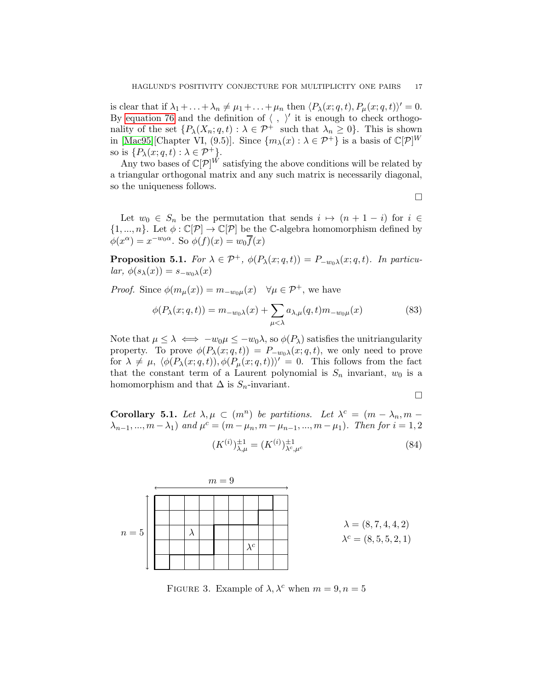is clear that if  $\lambda_1 + \ldots + \lambda_n \neq \mu_1 + \ldots + \mu_n$  then  $\langle P_\lambda(x; q, t), P_\mu(x; q, t) \rangle' = 0$ . By [equation 76](#page-15-0) and the definition of  $\langle , \rangle'$  it is enough to check orthogonality of the set  $\{P_{\lambda}(X_n; q, t) : \lambda \in \mathcal{P}^+ \text{ such that } \lambda_n \geq 0\}.$  This is shown in [\[Mac95\]](#page-21-0)[Chapter VI, (9.5)]. Since  $\{m_\lambda(x): \lambda \in \mathcal{P}^+\}$  is a basis of  $\mathbb{C}[\mathcal{P}]^W$ so is  $\{P_{\lambda}(x;q,t): \lambda \in \mathcal{P}^+\}.$ 

Any two bases of  $\mathbb{C}[\mathcal{P}]^W$  satisfying the above conditions will be related by a triangular orthogonal matrix and any such matrix is necessarily diagonal, so the uniqueness follows.

 $\Box$ 

Let  $w_0 \in S_n$  be the permutation that sends  $i \mapsto (n + 1 - i)$  for  $i \in$  $\{1, ..., n\}$ . Let  $\phi : \mathbb{C}[\mathcal{P}] \to \mathbb{C}[\mathcal{P}]$  be the C-algebra homomorphism defined by  $\phi(x^{\alpha}) = x^{-w_0 \alpha}$ . So  $\phi(f)(x) = w_0 \overline{f}(x)$ 

**Proposition 5.1.** For  $\lambda \in \mathcal{P}^+$ ,  $\phi(P_\lambda(x; q, t)) = P_{-w_0\lambda}(x; q, t)$ . In particular,  $\phi(s_\lambda(x)) = s_{-w_0\lambda}(x)$ 

*Proof.* Since  $\phi(m_\mu(x)) = m_{-w_0\mu}(x)$   $\forall \mu \in \mathcal{P}^+$ , we have

$$
\phi(P_{\lambda}(x;q,t)) = m_{-w_0\lambda}(x) + \sum_{\mu < \lambda} a_{\lambda,\mu}(q,t)m_{-w_0\mu}(x) \tag{83}
$$

Note that  $\mu \leq \lambda \iff -w_0\mu \leq -w_0\lambda$ , so  $\phi(P_\lambda)$  satisfies the unitriangularity property. To prove  $\phi(P_\lambda(x; q, t)) = P_{-w_0\lambda}(x; q, t)$ , we only need to prove for  $\lambda \neq \mu$ ,  $\langle \phi(P_\lambda(x; q, t)), \phi(P_\mu(x; q, t)) \rangle' = 0$ . This follows from the fact that the constant term of a Laurent polynomial is  $S_n$  invariant,  $w_0$  is a homomorphism and that  $\Delta$  is  $S_n$ -invariant.

$$
\Box
$$

<span id="page-16-0"></span>Corollary 5.1. Let  $\lambda, \mu \subset (m^n)$  be partitions. Let  $\lambda^c = (m - \lambda_n, m - \mu)$  $\lambda_{n-1}, ..., m - \lambda_1$  and  $\mu^c = (m - \mu_n, m - \mu_{n-1}, ..., m - \mu_1)$ . Then for  $i = 1, 2$ 

$$
(K^{(i)})_{\lambda,\mu}^{\pm 1} = (K^{(i)})_{\lambda^c,\mu^c}^{\pm 1}
$$
 (84)



FIGURE 3. Example of  $\lambda$ ,  $\lambda^c$  when  $m = 9, n = 5$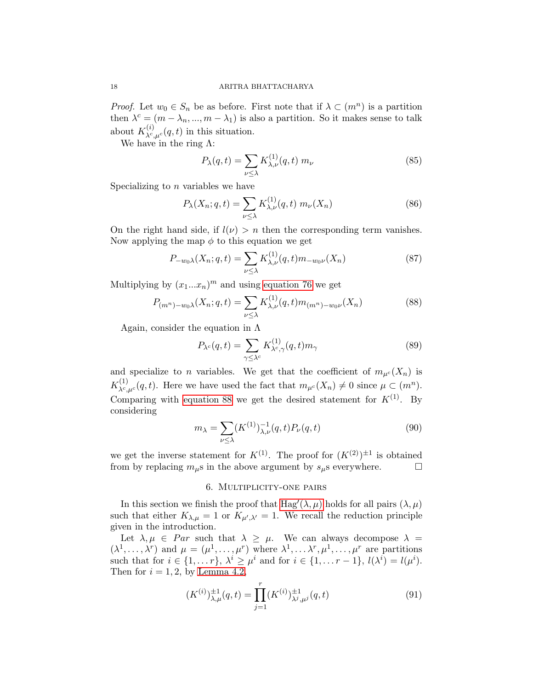*Proof.* Let  $w_0 \in S_n$  be as before. First note that if  $\lambda \subset (m^n)$  is a partition then  $\lambda^c = (m - \lambda_n, ..., m - \lambda_1)$  is also a partition. So it makes sense to talk about  $K_{\lambda^c,\mu^c}^{(i)}(q,t)$  in this situation.

We have in the ring  $\Lambda$ :

$$
P_{\lambda}(q,t) = \sum_{\nu \leq \lambda} K_{\lambda,\nu}^{(1)}(q,t) \; m_{\nu} \tag{85}
$$

Specializing to  $n$  variables we have

$$
P_{\lambda}(X_n; q, t) = \sum_{\nu \le \lambda} K_{\lambda, \nu}^{(1)}(q, t) \ m_{\nu}(X_n)
$$
 (86)

On the right hand side, if  $l(\nu) > n$  then the corresponding term vanishes. Now applying the map  $\phi$  to this equation we get

$$
P_{-w_0\lambda}(X_n;q,t) = \sum_{\nu \le \lambda} K_{\lambda,\nu}^{(1)}(q,t)m_{-w_0\nu}(X_n)
$$
(87)

Multiplying by  $(x_1...x_n)^m$  and using [equation 76](#page-15-0) we get

<span id="page-17-1"></span>
$$
P_{(m^n)-w_0\lambda}(X_n;q,t) = \sum_{\nu \le \lambda} K_{\lambda,\nu}^{(1)}(q,t)m_{(m^n)-w_0\nu}(X_n)
$$
(88)

Again, consider the equation in  $\Lambda$ 

$$
P_{\lambda^c}(q,t) = \sum_{\gamma \le \lambda^c} K_{\lambda^c,\gamma}^{(1)}(q,t)m_\gamma \tag{89}
$$

and specialize to n variables. We get that the coefficient of  $m_{\mu}c(X_n)$  is  $K_{\lambda^c,\mu^c}^{(1)}(q,t)$ . Here we have used the fact that  $m_{\mu^c}(X_n) \neq 0$  since  $\mu \subset (m^n)$ . Comparing with [equation 88](#page-17-1) we get the desired statement for  $K^{(1)}$ . By considering

$$
m_{\lambda} = \sum_{\nu \leq \lambda} (K^{(1)})^{-1}_{\lambda,\nu}(q,t) P_{\nu}(q,t)
$$
\n(90)

<span id="page-17-0"></span>we get the inverse statement for  $K^{(1)}$ . The proof for  $(K^{(2)})^{\pm 1}$  is obtained from by replacing  $m_{\mu}$ s in the above argument by  $s_{\mu}$ s everywhere.  $\Box$ 

## 6. Multiplicity-one pairs

In this section we finish the proof that  $\text{Hag}'(\lambda,\mu)$  holds for all pairs  $(\lambda,\mu)$ such that either  $K_{\lambda,\mu} = 1$  or  $K_{\mu',\lambda'} = 1$ . We recall the reduction principle given in the introduction.

Let  $\lambda, \mu \in Par$  such that  $\lambda \geq \mu$ . We can always decompose  $\lambda =$  $(\lambda^1,\ldots,\lambda^r)$  and  $\mu=(\mu^1,\ldots,\mu^r)$  where  $\lambda^1,\ldots,\lambda^r,\mu^1,\ldots,\mu^r$  are partitions such that for  $i \in \{1, \ldots r\}$ ,  $\lambda^i \geq \mu^i$  and for  $i \in \{1, \ldots r-1\}$ ,  $l(\lambda^i) = l(\mu^i)$ . Then for  $i = 1, 2$ , by [Lemma 4.2,](#page-12-0)

$$
(K^{(i)})_{\lambda,\mu}^{\pm 1}(q,t) = \prod_{j=1}^r (K^{(i)})_{\lambda^j,\mu^j}^{\pm 1}(q,t)
$$
\n(91)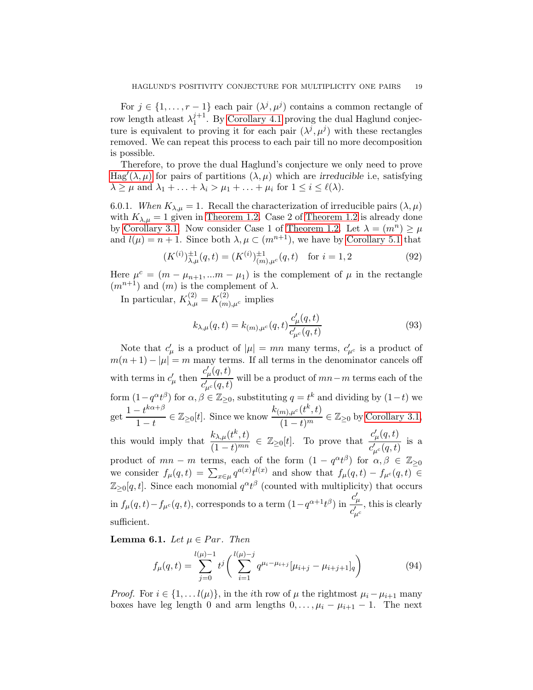For  $j \in \{1, \ldots, r-1\}$  each pair  $(\lambda^j, \mu^j)$  contains a common rectangle of row length at least  $\lambda_1^{j+1}$  $1<sup>j+1</sup>$ . By [Corollary 4.1](#page-14-0) proving the dual Haglund conjecture is equivalent to proving it for each pair  $(\lambda^j, \mu^j)$  with these rectangles removed. We can repeat this process to each pair till no more decomposition is possible.

Therefore, to prove the dual Haglund's conjecture we only need to prove [Hag](#page-8-0)'( $\lambda, \mu$ ) for pairs of partitions  $(\lambda, \mu)$  which are *irreducible* i.e, satisfying  $\lambda \geq \mu$  and  $\lambda_1 + \ldots + \lambda_i > \mu_1 + \ldots + \mu_i$  for  $1 \leq i \leq \ell(\lambda)$ .

6.0.1. When  $K_{\lambda,\mu} = 1$ . Recall the characterization of irreducible pairs  $(\lambda, \mu)$ with  $K_{\lambda,\mu} = 1$  given in [Theorem 1.2.](#page-2-0) Case 2 of [Theorem 1.2](#page-2-0) is already done by [Corollary 3.1.](#page-10-4) Now consider Case 1 of [Theorem 1.2.](#page-2-0) Let  $\lambda = (m^n) \geq \mu$ and  $l(\mu) = n + 1$ . Since both  $\lambda, \mu \subset (m^{n+1})$ , we have by [Corollary 5.1](#page-16-0) that

$$
(K^{(i)})_{\lambda,\mu}^{\pm 1}(q,t) = (K^{(i)})_{(m),\mu^c}^{\pm 1}(q,t) \quad \text{for } i = 1,2
$$
 (92)

Here  $\mu^c = (m - \mu_{n+1}, ... m - \mu_1)$  is the complement of  $\mu$  in the rectangle  $(m^{n+1})$  and  $(m)$  is the complement of  $\lambda$ .

In particular,  $K_{\lambda,\mu}^{(2)} = K_{(m)}^{(2)}$  $\lim_{(m),\mu^c}$  implies

$$
k_{\lambda,\mu}(q,t) = k_{(m),\mu^c}(q,t) \frac{c'_{\mu}(q,t)}{c'_{\mu^c}(q,t)}
$$
(93)

Note that  $c'_{\mu}$  is a product of  $|\mu| = mn$  many terms,  $c'_{\mu}$  is a product of  $m(n+1) - |\mu| = m$  many terms. If all terms in the denominator cancels off with terms in  $c'_{\mu}$  then  $c_{\mu}^{\prime}(q,t)$  $\frac{\mu(x)}{c'_{\mu^c}(q,t)}$  will be a product of  $mn-m$  terms each of the form  $(1-q^{\alpha}t^{\beta})$  for  $\alpha, \beta \in \mathbb{Z}_{\geq 0}$ , substituting  $q = t^k$  and dividing by  $(1-t)$  we get  $\frac{1-t^{k\alpha+\beta}}{1-t}$  $\frac{1-t^{k\alpha+\beta}}{1-t}\in\mathbb{Z}_{\geq0}[t].$  Since we know  $\frac{k_{(m),\mu^c}(t^k,t)}{(1-t)^m}$  $\frac{(m), \mu^c}{(1-t)^m} \in \mathbb{Z}_{\geq 0}$  by [Corollary 3.1,](#page-10-4) this would imply that  $\frac{k_{\lambda,\mu}(t^k,t)}{(1-t)^{mn}}$  $\frac{k_{\lambda,\mu}(t^k,t)}{(1-t)^{mn}} \in \mathbb{Z}_{\geq 0}[t].$  To prove that  $\frac{c'_{\mu}(q,t)}{c'_{\mu^c}(q,t)}$  $\frac{c_{\mu}(q,t)}{c'_{\mu^c}(q,t)}$  is a product of  $mn - m$  terms, each of the form  $(1 - q^{\alpha} t^{\beta})$  for  $\alpha, \beta \in \mathbb{Z}_{\geq 0}$ we consider  $f_{\mu}(q,t) = \sum_{x \in \mu} q^{a(x)} t^{l(x)}$  and show that  $f_{\mu}(q,t) - f_{\mu^c}(q,t) \in$  $\mathbb{Z}_{\geq 0}[q,t]$ . Since each monomial  $q^{\alpha}t^{\beta}$  (counted with multiplicity) that occurs  $\inf_{\mu}(q,t) - f_{\mu^c}(q,t)$ , corresponds to a term  $(1 - q^{\alpha+1}t^{\beta})$  in  $c'_\mu$  $c'_{\mu^c}$ , this is clearly sufficient.

**Lemma 6.1.** Let  $\mu \in Par$ . Then

$$
f_{\mu}(q,t) = \sum_{j=0}^{l(\mu)-1} t^{j} \left( \sum_{i=1}^{l(\mu)-j} q^{\mu_{i}-\mu_{i+j}} [\mu_{i+j} - \mu_{i+j+1}]_{q} \right)
$$
(94)

*Proof.* For  $i \in \{1, \ldots l(\mu)\}\$ , in the *i*th row of  $\mu$  the rightmost  $\mu_i - \mu_{i+1}$  many boxes have leg length 0 and arm lengths  $0, \ldots, \mu_i - \mu_{i+1} - 1$ . The next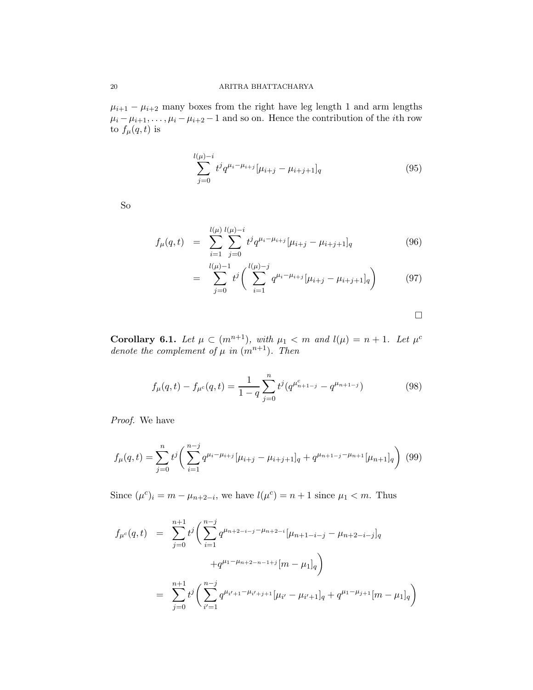$\mu_{i+1} - \mu_{i+2}$  many boxes from the right have leg length 1 and arm lengths  $\mu_i - \mu_{i+1}, \ldots, \mu_i - \mu_{i+2} - 1$  and so on. Hence the contribution of the *i*th row to  $f_\mu(q,t)$  is

$$
\sum_{j=0}^{l(\mu)-i} t^j q^{\mu_i-\mu_{i+j}} [\mu_{i+j}-\mu_{i+j+1}]_q
$$
 (95)

So

$$
f_{\mu}(q,t) = \sum_{i=1}^{l(\mu)} \sum_{j=0}^{l(\mu)-i} t^j q^{\mu_i - \mu_{i+j}} [\mu_{i+j} - \mu_{i+j+1}]_q
$$
(96)

$$
= \sum_{j=0}^{l(\mu)-1} t^j \left( \sum_{i=1}^{l(\mu)-j} q^{\mu_i - \mu_{i+j}} [\mu_{i+j} - \mu_{i+j+1}]_q \right) \tag{97}
$$

 $\hfill \square$ 

<span id="page-19-0"></span>**Corollary 6.1.** Let  $\mu \subset (m^{n+1})$ , with  $\mu_1 < m$  and  $l(\mu) = n + 1$ . Let  $\mu^c$ denote the complement of  $\mu$  in  $(m^{n+1})$ . Then

$$
f_{\mu}(q,t) - f_{\mu^c}(q,t) = \frac{1}{1-q} \sum_{j=0}^n t^j (q^{\mu^c_{n+1-j}} - q^{\mu_{n+1-j}})
$$
(98)

Proof. We have

$$
f_{\mu}(q,t) = \sum_{j=0}^{n} t^{j} \left( \sum_{i=1}^{n-j} q^{\mu_{i} - \mu_{i+j}} [\mu_{i+j} - \mu_{i+j+1}]_{q} + q^{\mu_{n+1-j} - \mu_{n+1}} [\mu_{n+1}]_{q} \right) (99)
$$

Since  $(\mu^c)_i = m - \mu_{n+2-i}$ , we have  $l(\mu^c) = n+1$  since  $\mu_1 < m$ . Thus

$$
f_{\mu^{c}}(q,t) = \sum_{j=0}^{n+1} t^{j} \left( \sum_{i=1}^{n-j} q^{\mu_{n+2-i-j} - \mu_{n+2-i}} [\mu_{n+1-i-j} - \mu_{n+2-i-j}]_q + q^{\mu_{1} - \mu_{n+2-n-1+j}} [m - \mu_{1}]_q \right)
$$
  

$$
= \sum_{j=0}^{n+1} t^{j} \left( \sum_{i'=1}^{n-j} q^{\mu_{i'+1} - \mu_{i'+j+1}} [\mu_{i'} - \mu_{i'+1}]_q + q^{\mu_{1} - \mu_{j+1}} [m - \mu_{1}]_q \right)
$$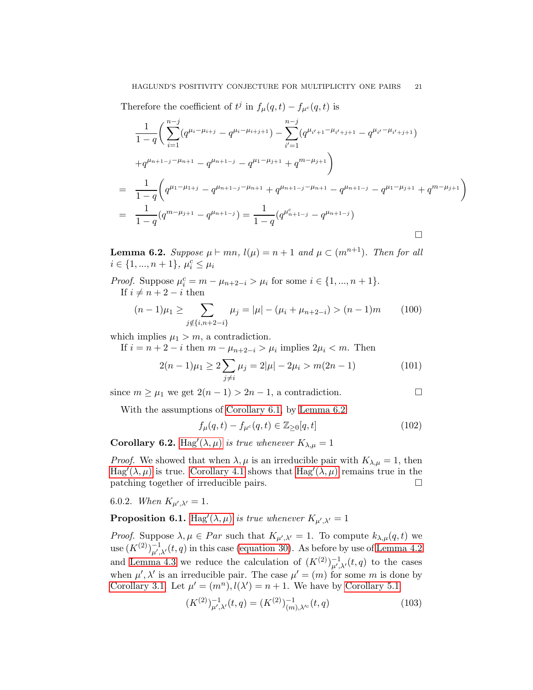Therefore the coefficient of  $t^j$  in  $f_\mu(q,t) - f_{\mu^c}(q,t)$  is

$$
\frac{1}{1-q} \left( \sum_{i=1}^{n-j} (q^{\mu_i - \mu_{i+j}} - q^{\mu_i - \mu_{i+j+1}}) - \sum_{i'=1}^{n-j} (q^{\mu_{i'+1} - \mu_{i'+j+1}} - q^{\mu_{i'} - \mu_{i'+j+1}}) \right)
$$
  
+ $q^{\mu_{n+1-j} - \mu_{n+1}} - q^{\mu_{n+1-j}} - q^{\mu_1 - \mu_{j+1}} + q^{m - \mu_{j+1}} \right)$   
= 
$$
\frac{1}{1-q} \left( q^{\mu_1 - \mu_{1+j}} - q^{\mu_{n+1-j} - \mu_{n+1}} + q^{\mu_{n+1-j} - \mu_{n+1}} - q^{\mu_{n+1-j}} - q^{\mu_1 - \mu_{j+1}} + q^{m - \mu_{j+1}} \right)
$$
  
= 
$$
\frac{1}{1-q} (q^{m - \mu_{j+1}} - q^{\mu_{n+1-j}}) = \frac{1}{1-q} (q^{\mu_{n+1-j}^c} - q^{\mu_{n+1-j}})
$$

<span id="page-20-0"></span>**Lemma 6.2.** Suppose  $\mu \vdash mn$ ,  $l(\mu) = n+1$  and  $\mu \subset (m^{n+1})$ . Then for all  $i \in \{1, ..., n+1\}, \ \mu_i^c \leq \mu_i$ 

*Proof.* Suppose  $\mu_i^c = m - \mu_{n+2-i} > \mu_i$  for some  $i \in \{1, ..., n+1\}$ . If  $i \neq n + 2 - i$  then

$$
(n-1)\mu_1 \ge \sum_{j \notin \{i, n+2-i\}} \mu_j = |\mu| - (\mu_i + \mu_{n+2-i}) > (n-1)m \qquad (100)
$$

which implies  $\mu_1 > m$ , a contradiction.

If  $i = n + 2 - i$  then  $m - \mu_{n+2-i} > \mu_i$  implies  $2\mu_i < m$ . Then

$$
2(n-1)\mu_1 \ge 2\sum_{j\neq i}\mu_j = 2|\mu| - 2\mu_i > m(2n-1)
$$
 (101)

since  $m \geq \mu_1$  we get  $2(n-1) > 2n-1$ , a contradiction.

With the assumptions of [Corollary 6.1,](#page-19-0) by [Lemma 6.2](#page-20-0)

$$
f_{\mu}(q,t) - f_{\mu^c}(q,t) \in \mathbb{Z}_{\geq 0}[q,t]
$$
\n(102)

**Corollary 6.2.** [Hag](#page-8-0)' $(\lambda, \mu)$  is true whenever  $K_{\lambda, \mu} = 1$ 

*Proof.* We showed that when  $\lambda, \mu$  is an irreducible pair with  $K_{\lambda,\mu} = 1$ , then [Hag](#page-8-0)'( $\lambda, \mu$ ) is true. [Corollary 4.1](#page-14-0) shows that [Hag](#page-8-0)'( $\lambda, \mu$ ) remains true in the patching together of irreducible pairs.

6.0.2. When  $K_{\mu',\lambda'} = 1$ .

**Proposition 6.1.** [Hag](#page-8-0)'( $\lambda, \mu$ ) is true whenever  $K_{\mu',\lambda'} = 1$ 

*Proof.* Suppose  $\lambda, \mu \in Par$  such that  $K_{\mu',\lambda'} = 1$ . To compute  $k_{\lambda,\mu}(q,t)$  we use  $(K^{(2)})^{-1}_{\mu',\lambda'}(t,q)$  in this case [\(equation 30\)](#page-7-5). As before by use of [Lemma 4.2](#page-12-0) and [Lemma 4.3](#page-13-0) we reduce the calculation of  $(K^{(2)})_{\mu',\lambda'}^{-1}(t,q)$  to the cases when  $\mu', \lambda'$  is an irreducible pair. The case  $\mu' = (m)$  for some m is done by [Corollary 3.1.](#page-10-4) Let  $\mu' = (m^n), l(\lambda') = n + 1$ . We have by [Corollary 5.1](#page-16-0)

$$
(K^{(2)})^{-1}_{\mu',\lambda'}(t,q) = (K^{(2)})^{-1}_{(m),\lambda'^c}(t,q)
$$
\n(103)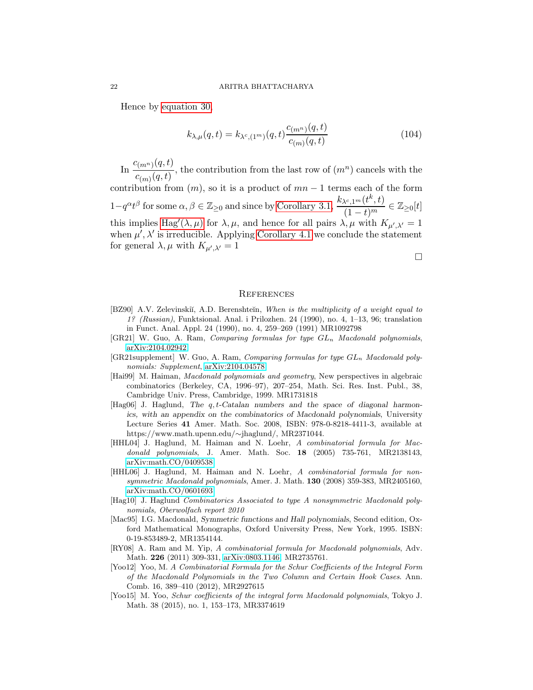Hence by [equation 30,](#page-7-5)

$$
k_{\lambda,\mu}(q,t) = k_{\lambda^c,(1^m)}(q,t) \frac{c_{(m^n)}(q,t)}{c_{(m)}(q,t)}
$$
(104)

In  $\frac{c_{(m^n)}(q,t)}{a}$  $\frac{c(m^n)(q, v)}{c(m)(q, t)}$ , the contribution from the last row of  $(m^n)$  cancels with the contribution from  $(m)$ , so it is a product of  $mn-1$  terms each of the form

 $1-q^{\alpha}t^{\beta}$  for some  $\alpha, \beta \in \mathbb{Z}_{\geq 0}$  and since by [Corollary 3.1,](#page-10-4)  $\frac{k_{\lambda^c,1^m}(t^k,t)}{(1-t^m)}$  $\frac{\lambda^{c},1^{m}(t^{\prime},t)}{(1-t)^{m}}\in\mathbb{Z}_{\geq0}[t]$ this implies [Hag](#page-8-0)'( $\lambda, \mu$ ) for  $\lambda, \mu$ , and hence for all pairs  $\lambda, \mu$  with  $K_{\mu', \lambda'} = 1$ when  $\mu'$ ,  $\lambda'$  is irreducible. Applying [Corollary 4.1](#page-14-0) we conclude the statement for general  $\lambda, \mu$  with  $K_{\mu',\lambda'} = 1$ 

 $\Box$ 

### **REFERENCES**

- <span id="page-21-9"></span>[BZ90] A.V. Zelevinskiı̆, A.D. Berenshteĭn, When is the multiplicity of a weight equal to 1? (Russian), Funktsional. Anal. i Prilozhen. 24 (1990), no. 4, 1–13, 96; translation in Funct. Anal. Appl. 24 (1990), no. 4, 259–269 (1991) MR1092798
- <span id="page-21-4"></span>[GR21] W. Guo, A. Ram, *Comparing formulas for type*  $GL_n$  *Macdonald polynomials*, [arXiv:2104.02942](http://arxiv.org/abs/2104.02942)
- <span id="page-21-5"></span> $[GR21supplement]$  W. Guo, A. Ram, Comparing formulas for type  $GL_n$  Macdonald polynomials: Supplement,  $arXiv:2104.04578$
- <span id="page-21-10"></span>[Hai99] M. Haiman, Macdonald polynomials and geometry, New perspectives in algebraic combinatorics (Berkeley, CA, 1996–97), 207–254, Math. Sci. Res. Inst. Publ., 38, Cambridge Univ. Press, Cambridge, 1999. MR1731818
- <span id="page-21-11"></span> $[Hag06]$  J. Haglund, The q, t-Catalan numbers and the space of diagonal harmonics, with an appendix on the combinatorics of Macdonald polynomials, University Lecture Series 41 Amer. Math. Soc. 2008, ISBN: 978-0-8218-4411-3, available at https://www.math.upenn.edu/∼jhaglund/, MR2371044.
- <span id="page-21-1"></span>[HHL04] J. Haglund, M. Haiman and N. Loehr, A combinatorial formula for Macdonald polynomials, J. Amer. Math. Soc. 18 (2005) 735-761, MR2138143, [arXiv:math.CO/0409538.](http://arxiv.org/abs/math/0409538)
- <span id="page-21-2"></span>[HHL06] J. Haglund, M. Haiman and N. Loehr, A combinatorial formula for nonsymmetric Macdonald polynomials, Amer. J. Math. 130 (2008) 359-383, MR2405160, [arXiv:math.CO/0601693.](http://arxiv.org/abs/math/0601693)
- <span id="page-21-8"></span>[Hag10] J. Haglund Combinatorics Associated to type A nonsymmetric Macdonald polynomials, Oberwolfach report 2010
- <span id="page-21-0"></span>[Mac95] I.G. Macdonald, Symmetric functions and Hall polynomials, Second edition, Oxford Mathematical Monographs, Oxford University Press, New York, 1995. ISBN: 0-19-853489-2, MR1354144.
- <span id="page-21-3"></span>[RY08] A. Ram and M. Yip, A combinatorial formula for Macdonald polynomials, Adv. Math. 226 (2011) 309-331, [arXiv:0803.1146,](http://arxiv.org/abs/0803.1146) MR2735761.
- <span id="page-21-6"></span>[Yoo12] Yoo, M. A Combinatorial Formula for the Schur Coefficients of the Integral Form of the Macdonald Polynomials in the Two Column and Certain Hook Cases. Ann. Comb. 16, 389–410 (2012), MR2927615
- <span id="page-21-7"></span>[Yoo15] M. Yoo, Schur coefficients of the integral form Macdonald polynomials, Tokyo J. Math. 38 (2015), no. 1, 153–173, MR3374619